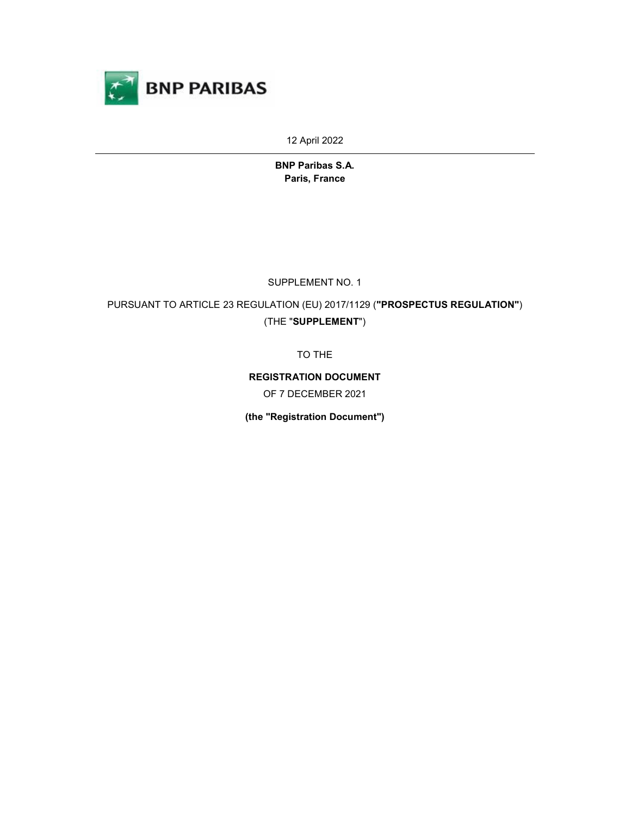

12 April 2022

BNP Paribas S.A. Paris, France

SUPPLEMENT NO. 1

PURSUANT TO ARTICLE 23 REGULATION (EU) 2017/1129 ("PROSPECTUS REGULATION") (THE "SUPPLEMENT")

TO THE

REGISTRATION DOCUMENT OF 7 DECEMBER 2021

(the "Registration Document")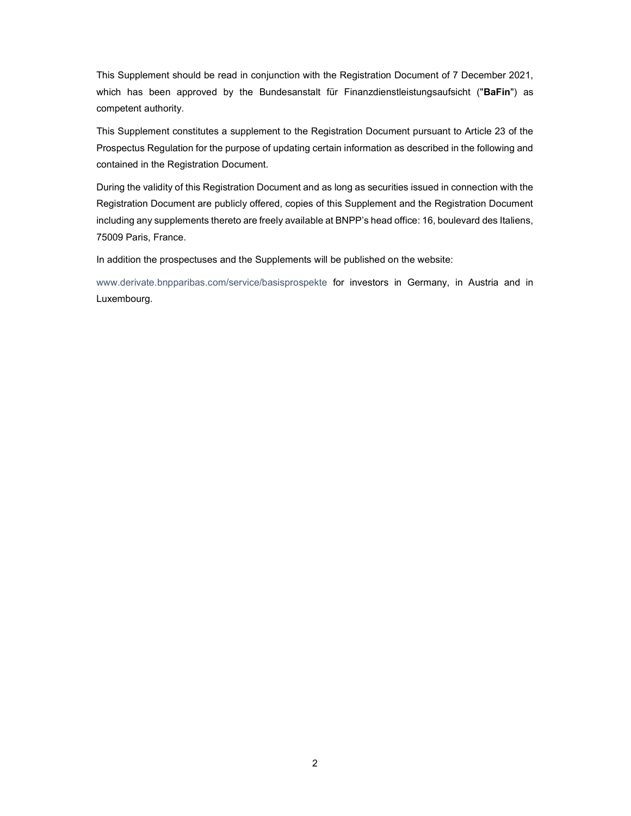This Supplement should be read in conjunction with the Registration Document of 7 December 2021, which has been approved by the Bundesanstalt für Finanzdienstleistungsaufsicht ("BaFin") as competent authority.

This Supplement constitutes a supplement to the Registration Document pursuant to Article 23 of the Prospectus Regulation for the purpose of updating certain information as described in the following and contained in the Registration Document.

During the validity of this Registration Document and as long as securities issued in connection with the Registration Document are publicly offered, copies of this Supplement and the Registration Document including any supplements thereto are freely available at BNPP's head office: 16, boulevard des Italiens, 75009 Paris, France.

In addition the prospectuses and the Supplements will be published on the website:

www.derivate.bnpparibas.com/service/basisprospekte for investors in Germany, in Austria and in Luxembourg.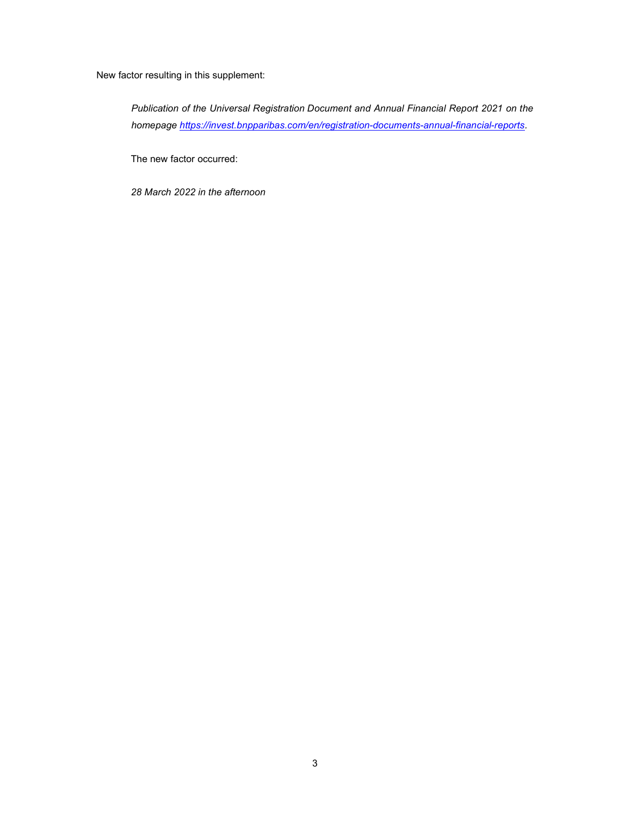New factor resulting in this supplement:

Publication of the Universal Registration Document and Annual Financial Report 2021 on the homepage https://invest.bnpparibas.com/en/registration-documents-annual-financial-reports.

The new factor occurred:

28 March 2022 in the afternoon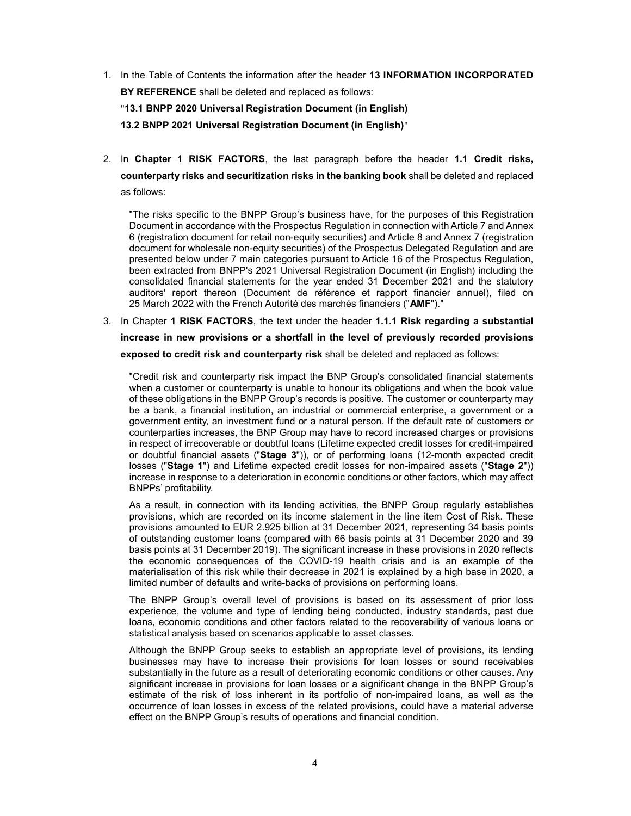- 1. In the Table of Contents the information after the header 13 INFORMATION INCORPORATED BY REFERENCE shall be deleted and replaced as follows: "13.1 BNPP 2020 Universal Registration Document (in English) 13.2 BNPP 2021 Universal Registration Document (in English)"
- 2. In Chapter 1 RISK FACTORS, the last paragraph before the header 1.1 Credit risks, counterparty risks and securitization risks in the banking book shall be deleted and replaced as follows:

"The risks specific to the BNPP Group's business have, for the purposes of this Registration Document in accordance with the Prospectus Regulation in connection with Article 7 and Annex 6 (registration document for retail non-equity securities) and Article 8 and Annex 7 (registration document for wholesale non-equity securities) of the Prospectus Delegated Regulation and are presented below under 7 main categories pursuant to Article 16 of the Prospectus Regulation, been extracted from BNPP's 2021 Universal Registration Document (in English) including the consolidated financial statements for the year ended 31 December 2021 and the statutory auditors' report thereon (Document de référence et rapport financier annuel), filed on 25 March 2022 with the French Autorité des marchés financiers ("AMF")."

3. In Chapter 1 RISK FACTORS, the text under the header 1.1.1 Risk regarding a substantial increase in new provisions or a shortfall in the level of previously recorded provisions exposed to credit risk and counterparty risk shall be deleted and replaced as follows:

"Credit risk and counterparty risk impact the BNP Group's consolidated financial statements when a customer or counterparty is unable to honour its obligations and when the book value of these obligations in the BNPP Group's records is positive. The customer or counterparty may be a bank, a financial institution, an industrial or commercial enterprise, a government or a government entity, an investment fund or a natural person. If the default rate of customers or counterparties increases, the BNP Group may have to record increased charges or provisions in respect of irrecoverable or doubtful loans (Lifetime expected credit losses for credit-impaired or doubtful financial assets ("Stage 3")), or of performing loans (12-month expected credit losses ("Stage 1") and Lifetime expected credit losses for non-impaired assets ("Stage 2")) increase in response to a deterioration in economic conditions or other factors, which may affect BNPPs' profitability.

As a result, in connection with its lending activities, the BNPP Group regularly establishes provisions, which are recorded on its income statement in the line item Cost of Risk. These provisions amounted to EUR 2.925 billion at 31 December 2021, representing 34 basis points of outstanding customer loans (compared with 66 basis points at 31 December 2020 and 39 basis points at 31 December 2019). The significant increase in these provisions in 2020 reflects the economic consequences of the COVID-19 health crisis and is an example of the materialisation of this risk while their decrease in 2021 is explained by a high base in 2020, a limited number of defaults and write-backs of provisions on performing loans.

The BNPP Group's overall level of provisions is based on its assessment of prior loss experience, the volume and type of lending being conducted, industry standards, past due loans, economic conditions and other factors related to the recoverability of various loans or statistical analysis based on scenarios applicable to asset classes.

Although the BNPP Group seeks to establish an appropriate level of provisions, its lending businesses may have to increase their provisions for loan losses or sound receivables substantially in the future as a result of deteriorating economic conditions or other causes. Any significant increase in provisions for loan losses or a significant change in the BNPP Group's estimate of the risk of loss inherent in its portfolio of non-impaired loans, as well as the occurrence of loan losses in excess of the related provisions, could have a material adverse effect on the BNPP Group's results of operations and financial condition.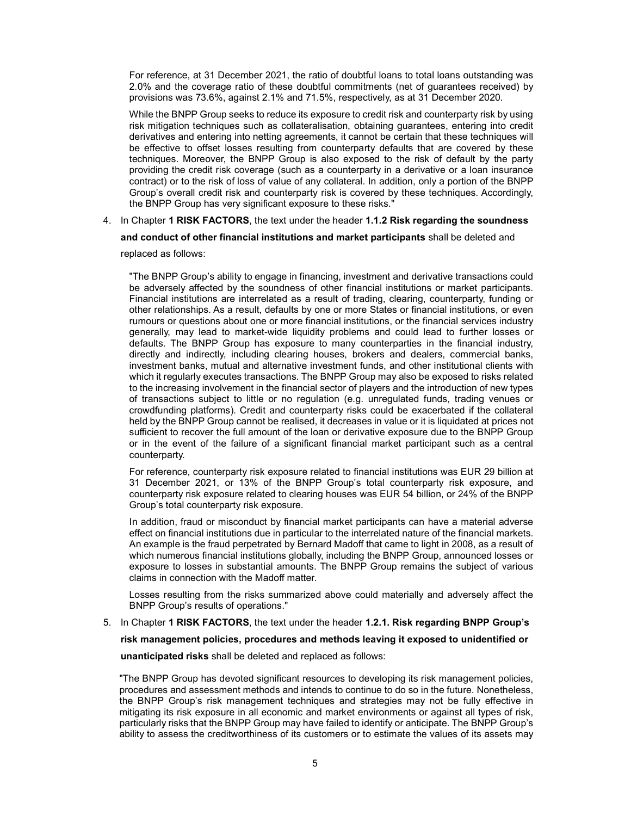For reference, at 31 December 2021, the ratio of doubtful loans to total loans outstanding was 2.0% and the coverage ratio of these doubtful commitments (net of guarantees received) by provisions was 73.6%, against 2.1% and 71.5%, respectively, as at 31 December 2020.

While the BNPP Group seeks to reduce its exposure to credit risk and counterparty risk by using risk mitigation techniques such as collateralisation, obtaining guarantees, entering into credit derivatives and entering into netting agreements, it cannot be certain that these techniques will be effective to offset losses resulting from counterparty defaults that are covered by these techniques. Moreover, the BNPP Group is also exposed to the risk of default by the party providing the credit risk coverage (such as a counterparty in a derivative or a loan insurance contract) or to the risk of loss of value of any collateral. In addition, only a portion of the BNPP Group's overall credit risk and counterparty risk is covered by these techniques. Accordingly, the BNPP Group has very significant exposure to these risks."

4. In Chapter 1 RISK FACTORS, the text under the header 1.1.2 Risk regarding the soundness

and conduct of other financial institutions and market participants shall be deleted and

replaced as follows:

"The BNPP Group's ability to engage in financing, investment and derivative transactions could be adversely affected by the soundness of other financial institutions or market participants. Financial institutions are interrelated as a result of trading, clearing, counterparty, funding or other relationships. As a result, defaults by one or more States or financial institutions, or even rumours or questions about one or more financial institutions, or the financial services industry generally, may lead to market-wide liquidity problems and could lead to further losses or defaults. The BNPP Group has exposure to many counterparties in the financial industry, directly and indirectly, including clearing houses, brokers and dealers, commercial banks, investment banks, mutual and alternative investment funds, and other institutional clients with which it regularly executes transactions. The BNPP Group may also be exposed to risks related to the increasing involvement in the financial sector of players and the introduction of new types of transactions subject to little or no regulation (e.g. unregulated funds, trading venues or crowdfunding platforms). Credit and counterparty risks could be exacerbated if the collateral held by the BNPP Group cannot be realised, it decreases in value or it is liquidated at prices not sufficient to recover the full amount of the loan or derivative exposure due to the BNPP Group or in the event of the failure of a significant financial market participant such as a central counterparty.

For reference, counterparty risk exposure related to financial institutions was EUR 29 billion at 31 December 2021, or 13% of the BNPP Group's total counterparty risk exposure, and counterparty risk exposure related to clearing houses was EUR 54 billion, or 24% of the BNPP Group's total counterparty risk exposure.

In addition, fraud or misconduct by financial market participants can have a material adverse effect on financial institutions due in particular to the interrelated nature of the financial markets. An example is the fraud perpetrated by Bernard Madoff that came to light in 2008, as a result of which numerous financial institutions globally, including the BNPP Group, announced losses or exposure to losses in substantial amounts. The BNPP Group remains the subject of various claims in connection with the Madoff matter.

Losses resulting from the risks summarized above could materially and adversely affect the BNPP Group's results of operations."

5. In Chapter 1 RISK FACTORS, the text under the header 1.2.1. Risk regarding BNPP Group's risk management policies, procedures and methods leaving it exposed to unidentified or unanticipated risks shall be deleted and replaced as follows:

"The BNPP Group has devoted significant resources to developing its risk management policies, procedures and assessment methods and intends to continue to do so in the future. Nonetheless, the BNPP Group's risk management techniques and strategies may not be fully effective in mitigating its risk exposure in all economic and market environments or against all types of risk, particularly risks that the BNPP Group may have failed to identify or anticipate. The BNPP Group's ability to assess the creditworthiness of its customers or to estimate the values of its assets may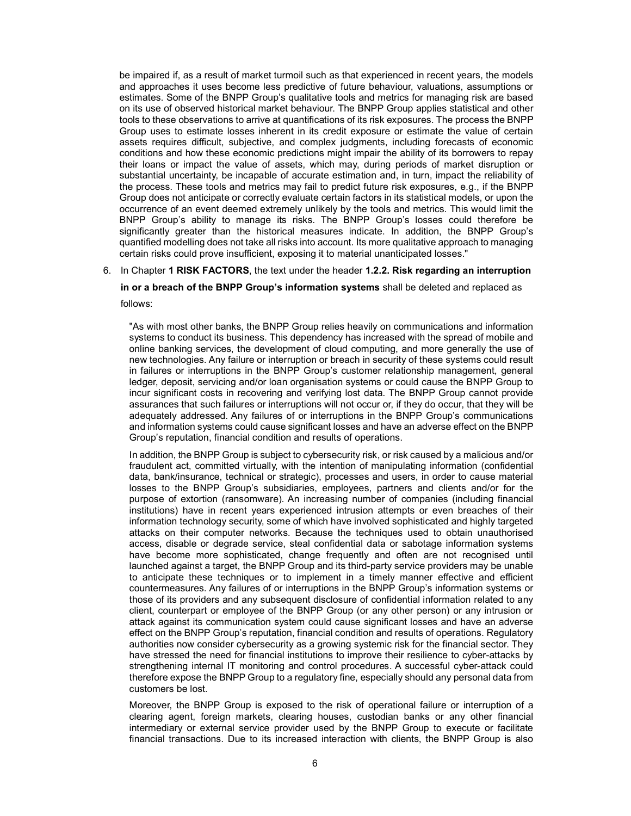be impaired if, as a result of market turmoil such as that experienced in recent years, the models and approaches it uses become less predictive of future behaviour, valuations, assumptions or estimates. Some of the BNPP Group's qualitative tools and metrics for managing risk are based on its use of observed historical market behaviour. The BNPP Group applies statistical and other tools to these observations to arrive at quantifications of its risk exposures. The process the BNPP Group uses to estimate losses inherent in its credit exposure or estimate the value of certain assets requires difficult, subjective, and complex judgments, including forecasts of economic conditions and how these economic predictions might impair the ability of its borrowers to repay their loans or impact the value of assets, which may, during periods of market disruption or substantial uncertainty, be incapable of accurate estimation and, in turn, impact the reliability of the process. These tools and metrics may fail to predict future risk exposures, e.g., if the BNPP Group does not anticipate or correctly evaluate certain factors in its statistical models, or upon the occurrence of an event deemed extremely unlikely by the tools and metrics. This would limit the BNPP Group's ability to manage its risks. The BNPP Group's losses could therefore be significantly greater than the historical measures indicate. In addition, the BNPP Group's quantified modelling does not take all risks into account. Its more qualitative approach to managing certain risks could prove insufficient, exposing it to material unanticipated losses."

## 6. In Chapter 1 RISK FACTORS, the text under the header 1.2.2. Risk regarding an interruption

## in or a breach of the BNPP Group's information systems shall be deleted and replaced as

follows:

"As with most other banks, the BNPP Group relies heavily on communications and information systems to conduct its business. This dependency has increased with the spread of mobile and online banking services, the development of cloud computing, and more generally the use of new technologies. Any failure or interruption or breach in security of these systems could result in failures or interruptions in the BNPP Group's customer relationship management, general ledger, deposit, servicing and/or loan organisation systems or could cause the BNPP Group to incur significant costs in recovering and verifying lost data. The BNPP Group cannot provide assurances that such failures or interruptions will not occur or, if they do occur, that they will be adequately addressed. Any failures of or interruptions in the BNPP Group's communications and information systems could cause significant losses and have an adverse effect on the BNPP Group's reputation, financial condition and results of operations.

In addition, the BNPP Group is subject to cybersecurity risk, or risk caused by a malicious and/or fraudulent act, committed virtually, with the intention of manipulating information (confidential data, bank/insurance, technical or strategic), processes and users, in order to cause material losses to the BNPP Group's subsidiaries, employees, partners and clients and/or for the purpose of extortion (ransomware). An increasing number of companies (including financial institutions) have in recent years experienced intrusion attempts or even breaches of their information technology security, some of which have involved sophisticated and highly targeted attacks on their computer networks. Because the techniques used to obtain unauthorised access, disable or degrade service, steal confidential data or sabotage information systems have become more sophisticated, change frequently and often are not recognised until launched against a target, the BNPP Group and its third-party service providers may be unable to anticipate these techniques or to implement in a timely manner effective and efficient countermeasures. Any failures of or interruptions in the BNPP Group's information systems or those of its providers and any subsequent disclosure of confidential information related to any client, counterpart or employee of the BNPP Group (or any other person) or any intrusion or attack against its communication system could cause significant losses and have an adverse effect on the BNPP Group's reputation, financial condition and results of operations. Regulatory authorities now consider cybersecurity as a growing systemic risk for the financial sector. They have stressed the need for financial institutions to improve their resilience to cyber-attacks by strengthening internal IT monitoring and control procedures. A successful cyber-attack could therefore expose the BNPP Group to a regulatory fine, especially should any personal data from customers be lost.

Moreover, the BNPP Group is exposed to the risk of operational failure or interruption of a clearing agent, foreign markets, clearing houses, custodian banks or any other financial intermediary or external service provider used by the BNPP Group to execute or facilitate financial transactions. Due to its increased interaction with clients, the BNPP Group is also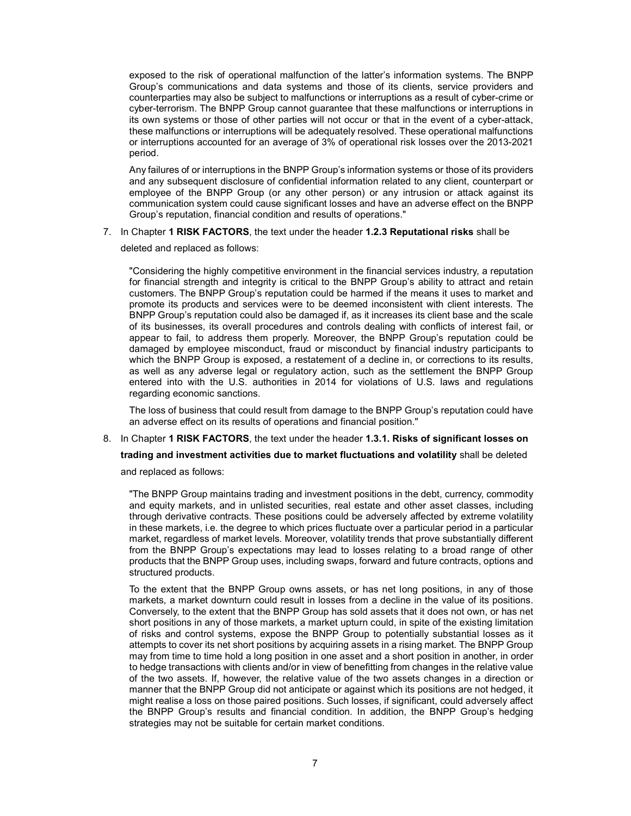exposed to the risk of operational malfunction of the latter's information systems. The BNPP Group's communications and data systems and those of its clients, service providers and counterparties may also be subject to malfunctions or interruptions as a result of cyber-crime or cyber-terrorism. The BNPP Group cannot guarantee that these malfunctions or interruptions in its own systems or those of other parties will not occur or that in the event of a cyber-attack, these malfunctions or interruptions will be adequately resolved. These operational malfunctions or interruptions accounted for an average of 3% of operational risk losses over the 2013-2021 period.

Any failures of or interruptions in the BNPP Group's information systems or those of its providers and any subsequent disclosure of confidential information related to any client, counterpart or employee of the BNPP Group (or any other person) or any intrusion or attack against its communication system could cause significant losses and have an adverse effect on the BNPP Group's reputation, financial condition and results of operations."

7. In Chapter 1 RISK FACTORS, the text under the header 1.2.3 Reputational risks shall be

deleted and replaced as follows:

"Considering the highly competitive environment in the financial services industry, a reputation for financial strength and integrity is critical to the BNPP Group's ability to attract and retain customers. The BNPP Group's reputation could be harmed if the means it uses to market and promote its products and services were to be deemed inconsistent with client interests. The BNPP Group's reputation could also be damaged if, as it increases its client base and the scale of its businesses, its overall procedures and controls dealing with conflicts of interest fail, or appear to fail, to address them properly. Moreover, the BNPP Group's reputation could be damaged by employee misconduct, fraud or misconduct by financial industry participants to which the BNPP Group is exposed, a restatement of a decline in, or corrections to its results, as well as any adverse legal or regulatory action, such as the settlement the BNPP Group entered into with the U.S. authorities in 2014 for violations of U.S. laws and regulations regarding economic sanctions.

The loss of business that could result from damage to the BNPP Group's reputation could have an adverse effect on its results of operations and financial position."

## 8. In Chapter 1 RISK FACTORS, the text under the header 1.3.1. Risks of significant losses on

trading and investment activities due to market fluctuations and volatility shall be deleted

and replaced as follows:

"The BNPP Group maintains trading and investment positions in the debt, currency, commodity and equity markets, and in unlisted securities, real estate and other asset classes, including through derivative contracts. These positions could be adversely affected by extreme volatility in these markets, i.e. the degree to which prices fluctuate over a particular period in a particular market, regardless of market levels. Moreover, volatility trends that prove substantially different from the BNPP Group's expectations may lead to losses relating to a broad range of other products that the BNPP Group uses, including swaps, forward and future contracts, options and structured products.

To the extent that the BNPP Group owns assets, or has net long positions, in any of those markets, a market downturn could result in losses from a decline in the value of its positions. Conversely, to the extent that the BNPP Group has sold assets that it does not own, or has net short positions in any of those markets, a market upturn could, in spite of the existing limitation of risks and control systems, expose the BNPP Group to potentially substantial losses as it attempts to cover its net short positions by acquiring assets in a rising market. The BNPP Group may from time to time hold a long position in one asset and a short position in another, in order to hedge transactions with clients and/or in view of benefitting from changes in the relative value of the two assets. If, however, the relative value of the two assets changes in a direction or manner that the BNPP Group did not anticipate or against which its positions are not hedged, it might realise a loss on those paired positions. Such losses, if significant, could adversely affect the BNPP Group's results and financial condition. In addition, the BNPP Group's hedging strategies may not be suitable for certain market conditions.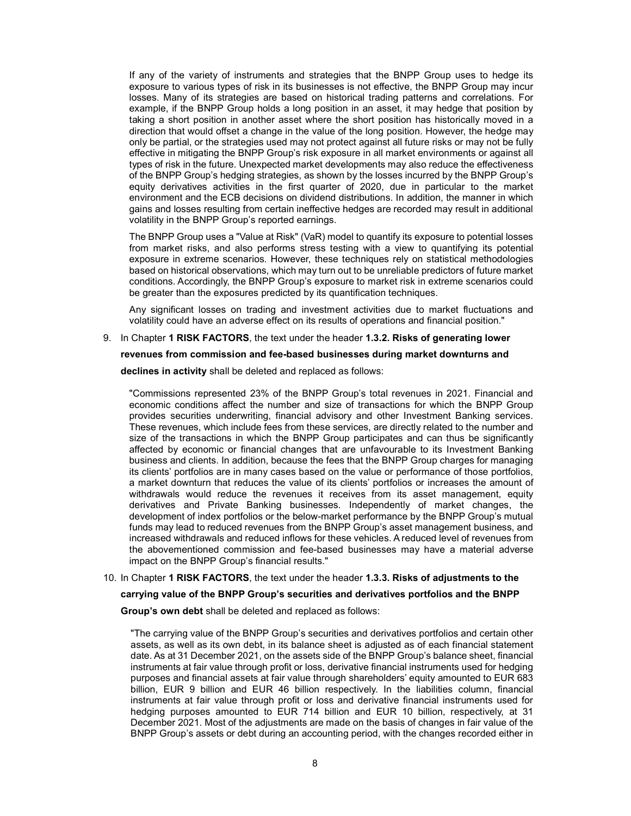If any of the variety of instruments and strategies that the BNPP Group uses to hedge its exposure to various types of risk in its businesses is not effective, the BNPP Group may incur losses. Many of its strategies are based on historical trading patterns and correlations. For example, if the BNPP Group holds a long position in an asset, it may hedge that position by taking a short position in another asset where the short position has historically moved in a direction that would offset a change in the value of the long position. However, the hedge may only be partial, or the strategies used may not protect against all future risks or may not be fully effective in mitigating the BNPP Group's risk exposure in all market environments or against all types of risk in the future. Unexpected market developments may also reduce the effectiveness of the BNPP Group's hedging strategies, as shown by the losses incurred by the BNPP Group's equity derivatives activities in the first quarter of 2020, due in particular to the market environment and the ECB decisions on dividend distributions. In addition, the manner in which gains and losses resulting from certain ineffective hedges are recorded may result in additional volatility in the BNPP Group's reported earnings.

The BNPP Group uses a "Value at Risk" (VaR) model to quantify its exposure to potential losses from market risks, and also performs stress testing with a view to quantifying its potential exposure in extreme scenarios. However, these techniques rely on statistical methodologies based on historical observations, which may turn out to be unreliable predictors of future market conditions. Accordingly, the BNPP Group's exposure to market risk in extreme scenarios could be greater than the exposures predicted by its quantification techniques.

Any significant losses on trading and investment activities due to market fluctuations and volatility could have an adverse effect on its results of operations and financial position."

### 9. In Chapter 1 RISK FACTORS, the text under the header 1.3.2. Risks of generating lower

### revenues from commission and fee-based businesses during market downturns and

declines in activity shall be deleted and replaced as follows:

"Commissions represented 23% of the BNPP Group's total revenues in 2021. Financial and economic conditions affect the number and size of transactions for which the BNPP Group provides securities underwriting, financial advisory and other Investment Banking services. These revenues, which include fees from these services, are directly related to the number and size of the transactions in which the BNPP Group participates and can thus be significantly affected by economic or financial changes that are unfavourable to its Investment Banking business and clients. In addition, because the fees that the BNPP Group charges for managing its clients' portfolios are in many cases based on the value or performance of those portfolios, a market downturn that reduces the value of its clients' portfolios or increases the amount of withdrawals would reduce the revenues it receives from its asset management, equity derivatives and Private Banking businesses. Independently of market changes, the development of index portfolios or the below-market performance by the BNPP Group's mutual funds may lead to reduced revenues from the BNPP Group's asset management business, and increased withdrawals and reduced inflows for these vehicles. A reduced level of revenues from the abovementioned commission and fee-based businesses may have a material adverse impact on the BNPP Group's financial results."

## 10. In Chapter 1 RISK FACTORS, the text under the header 1.3.3. Risks of adjustments to the

### carrying value of the BNPP Group's securities and derivatives portfolios and the BNPP

Group's own debt shall be deleted and replaced as follows:

"The carrying value of the BNPP Group's securities and derivatives portfolios and certain other assets, as well as its own debt, in its balance sheet is adjusted as of each financial statement date. As at 31 December 2021, on the assets side of the BNPP Group's balance sheet, financial instruments at fair value through profit or loss, derivative financial instruments used for hedging purposes and financial assets at fair value through shareholders' equity amounted to EUR 683 billion, EUR 9 billion and EUR 46 billion respectively. In the liabilities column, financial instruments at fair value through profit or loss and derivative financial instruments used for hedging purposes amounted to EUR 714 billion and EUR 10 billion, respectively, at 31 December 2021. Most of the adjustments are made on the basis of changes in fair value of the BNPP Group's assets or debt during an accounting period, with the changes recorded either in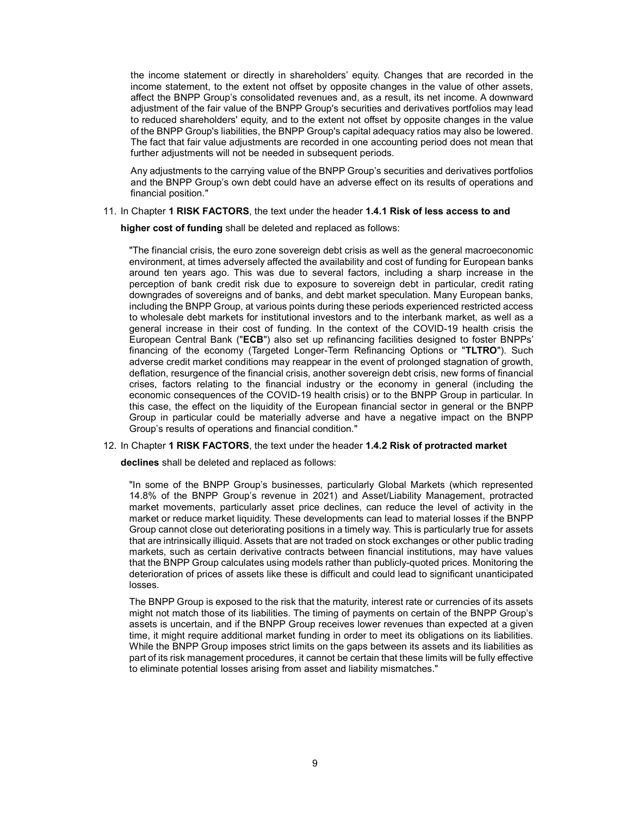the income statement or directly in shareholders' equity. Changes that are recorded in the income statement, to the extent not offset by opposite changes in the value of other assets, affect the BNPP Group's consolidated revenues and, as a result, its net income. A downward adjustment of the fair value of the BNPP Group's securities and derivatives portfolios may lead to reduced shareholders' equity, and to the extent not offset by opposite changes in the value of the BNPP Group's liabilities, the BNPP Group's capital adequacy ratios may also be lowered. The fact that fair value adjustments are recorded in one accounting period does not mean that further adjustments will not be needed in subsequent periods.

Any adjustments to the carrying value of the BNPP Group's securities and derivatives portfolios and the BNPP Group's own debt could have an adverse effect on its results of operations and financial position."

### 11. In Chapter 1 RISK FACTORS, the text under the header 1.4.1 Risk of less access to and

higher cost of funding shall be deleted and replaced as follows:

"The financial crisis, the euro zone sovereign debt crisis as well as the general macroeconomic environment, at times adversely affected the availability and cost of funding for European banks around ten years ago. This was due to several factors, including a sharp increase in the perception of bank credit risk due to exposure to sovereign debt in particular, credit rating downgrades of sovereigns and of banks, and debt market speculation. Many European banks, including the BNPP Group, at various points during these periods experienced restricted access to wholesale debt markets for institutional investors and to the interbank market, as well as a general increase in their cost of funding. In the context of the COVID-19 health crisis the European Central Bank ("ECB") also set up refinancing facilities designed to foster BNPPs' financing of the economy (Targeted Longer-Term Refinancing Options or "TLTRO"). Such adverse credit market conditions may reappear in the event of prolonged stagnation of growth, deflation, resurgence of the financial crisis, another sovereign debt crisis, new forms of financial crises, factors relating to the financial industry or the economy in general (including the economic consequences of the COVID-19 health crisis) or to the BNPP Group in particular. In this case, the effect on the liquidity of the European financial sector in general or the BNPP Group in particular could be materially adverse and have a negative impact on the BNPP Group's results of operations and financial condition."

### 12. In Chapter 1 RISK FACTORS, the text under the header 1.4.2 Risk of protracted market

declines shall be deleted and replaced as follows:

"In some of the BNPP Group's businesses, particularly Global Markets (which represented 14.8% of the BNPP Group's revenue in 2021) and Asset/Liability Management, protracted market movements, particularly asset price declines, can reduce the level of activity in the market or reduce market liquidity. These developments can lead to material losses if the BNPP Group cannot close out deteriorating positions in a timely way. This is particularly true for assets that are intrinsically illiquid. Assets that are not traded on stock exchanges or other public trading markets, such as certain derivative contracts between financial institutions, may have values that the BNPP Group calculates using models rather than publicly-quoted prices. Monitoring the deterioration of prices of assets like these is difficult and could lead to significant unanticipated losses.

The BNPP Group is exposed to the risk that the maturity, interest rate or currencies of its assets might not match those of its liabilities. The timing of payments on certain of the BNPP Group's assets is uncertain, and if the BNPP Group receives lower revenues than expected at a given time, it might require additional market funding in order to meet its obligations on its liabilities. While the BNPP Group imposes strict limits on the gaps between its assets and its liabilities as part of its risk management procedures, it cannot be certain that these limits will be fully effective to eliminate potential losses arising from asset and liability mismatches."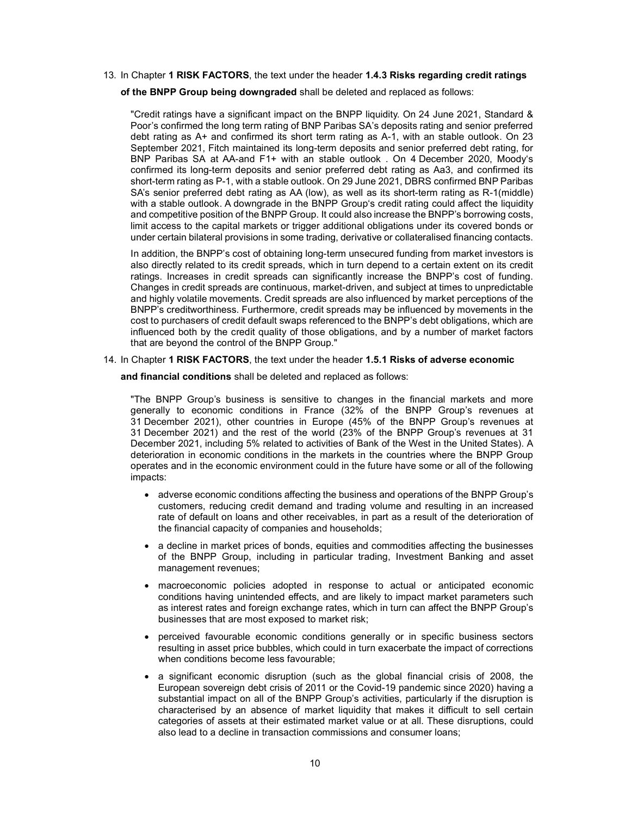- 13. In Chapter 1 RISK FACTORS, the text under the header 1.4.3 Risks regarding credit ratings
	- of the BNPP Group being downgraded shall be deleted and replaced as follows:

"Credit ratings have a significant impact on the BNPP liquidity. On 24 June 2021, Standard & Poor's confirmed the long term rating of BNP Paribas SA's deposits rating and senior preferred debt rating as A+ and confirmed its short term rating as A-1, with an stable outlook. On 23 September 2021, Fitch maintained its long-term deposits and senior preferred debt rating, for BNP Paribas SA at AA-and F1+ with an stable outlook . On 4 December 2020, Moody's confirmed its long-term deposits and senior preferred debt rating as Aa3, and confirmed its short-term rating as P-1, with a stable outlook. On 29 June 2021, DBRS confirmed BNP Paribas SA's senior preferred debt rating as AA (low), as well as its short-term rating as R-1(middle) with a stable outlook. A downgrade in the BNPP Group's credit rating could affect the liquidity and competitive position of the BNPP Group. It could also increase the BNPP's borrowing costs, limit access to the capital markets or trigger additional obligations under its covered bonds or under certain bilateral provisions in some trading, derivative or collateralised financing contacts.

In addition, the BNPP's cost of obtaining long-term unsecured funding from market investors is also directly related to its credit spreads, which in turn depend to a certain extent on its credit ratings. Increases in credit spreads can significantly increase the BNPP's cost of funding. Changes in credit spreads are continuous, market-driven, and subject at times to unpredictable and highly volatile movements. Credit spreads are also influenced by market perceptions of the BNPP's creditworthiness. Furthermore, credit spreads may be influenced by movements in the cost to purchasers of credit default swaps referenced to the BNPP's debt obligations, which are influenced both by the credit quality of those obligations, and by a number of market factors that are beyond the control of the BNPP Group."

14. In Chapter 1 RISK FACTORS, the text under the header 1.5.1 Risks of adverse economic

and financial conditions shall be deleted and replaced as follows:

"The BNPP Group's business is sensitive to changes in the financial markets and more generally to economic conditions in France (32% of the BNPP Group's revenues at 31 December 2021), other countries in Europe (45% of the BNPP Group's revenues at 31 December 2021) and the rest of the world (23% of the BNPP Group's revenues at 31 December 2021, including 5% related to activities of Bank of the West in the United States). A deterioration in economic conditions in the markets in the countries where the BNPP Group operates and in the economic environment could in the future have some or all of the following impacts:

- adverse economic conditions affecting the business and operations of the BNPP Group's customers, reducing credit demand and trading volume and resulting in an increased rate of default on loans and other receivables, in part as a result of the deterioration of the financial capacity of companies and households;
- a decline in market prices of bonds, equities and commodities affecting the businesses of the BNPP Group, including in particular trading, Investment Banking and asset management revenues;
- macroeconomic policies adopted in response to actual or anticipated economic conditions having unintended effects, and are likely to impact market parameters such as interest rates and foreign exchange rates, which in turn can affect the BNPP Group's businesses that are most exposed to market risk;
- perceived favourable economic conditions generally or in specific business sectors resulting in asset price bubbles, which could in turn exacerbate the impact of corrections when conditions become less favourable;
- a significant economic disruption (such as the global financial crisis of 2008, the European sovereign debt crisis of 2011 or the Covid-19 pandemic since 2020) having a substantial impact on all of the BNPP Group's activities, particularly if the disruption is characterised by an absence of market liquidity that makes it difficult to sell certain categories of assets at their estimated market value or at all. These disruptions, could also lead to a decline in transaction commissions and consumer loans;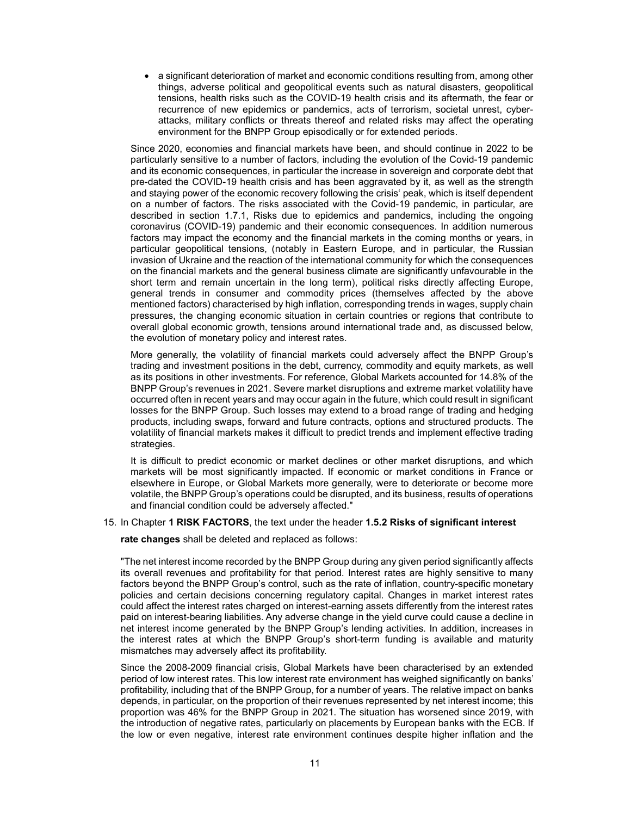a significant deterioration of market and economic conditions resulting from, among other things, adverse political and geopolitical events such as natural disasters, geopolitical tensions, health risks such as the COVID-19 health crisis and its aftermath, the fear or recurrence of new epidemics or pandemics, acts of terrorism, societal unrest, cyberattacks, military conflicts or threats thereof and related risks may affect the operating environment for the BNPP Group episodically or for extended periods.

Since 2020, economies and financial markets have been, and should continue in 2022 to be particularly sensitive to a number of factors, including the evolution of the Covid-19 pandemic and its economic consequences, in particular the increase in sovereign and corporate debt that pre-dated the COVID-19 health crisis and has been aggravated by it, as well as the strength and staying power of the economic recovery following the crisis' peak, which is itself dependent on a number of factors. The risks associated with the Covid-19 pandemic, in particular, are described in section 1.7.1, Risks due to epidemics and pandemics, including the ongoing coronavirus (COVID-19) pandemic and their economic consequences. In addition numerous factors may impact the economy and the financial markets in the coming months or years, in particular geopolitical tensions, (notably in Eastern Europe, and in particular, the Russian invasion of Ukraine and the reaction of the international community for which the consequences on the financial markets and the general business climate are significantly unfavourable in the short term and remain uncertain in the long term), political risks directly affecting Europe, general trends in consumer and commodity prices (themselves affected by the above mentioned factors) characterised by high inflation, corresponding trends in wages, supply chain pressures, the changing economic situation in certain countries or regions that contribute to overall global economic growth, tensions around international trade and, as discussed below, the evolution of monetary policy and interest rates.

More generally, the volatility of financial markets could adversely affect the BNPP Group's trading and investment positions in the debt, currency, commodity and equity markets, as well as its positions in other investments. For reference, Global Markets accounted for 14.8% of the BNPP Group's revenues in 2021. Severe market disruptions and extreme market volatility have occurred often in recent years and may occur again in the future, which could result in significant losses for the BNPP Group. Such losses may extend to a broad range of trading and hedging products, including swaps, forward and future contracts, options and structured products. The volatility of financial markets makes it difficult to predict trends and implement effective trading strategies.

It is difficult to predict economic or market declines or other market disruptions, and which markets will be most significantly impacted. If economic or market conditions in France or elsewhere in Europe, or Global Markets more generally, were to deteriorate or become more volatile, the BNPP Group's operations could be disrupted, and its business, results of operations and financial condition could be adversely affected."

### 15. In Chapter 1 RISK FACTORS, the text under the header 1.5.2 Risks of significant interest

rate changes shall be deleted and replaced as follows:

"The net interest income recorded by the BNPP Group during any given period significantly affects its overall revenues and profitability for that period. Interest rates are highly sensitive to many factors beyond the BNPP Group's control, such as the rate of inflation, country-specific monetary policies and certain decisions concerning regulatory capital. Changes in market interest rates could affect the interest rates charged on interest-earning assets differently from the interest rates paid on interest-bearing liabilities. Any adverse change in the yield curve could cause a decline in net interest income generated by the BNPP Group's lending activities. In addition, increases in the interest rates at which the BNPP Group's short-term funding is available and maturity mismatches may adversely affect its profitability.

Since the 2008-2009 financial crisis, Global Markets have been characterised by an extended period of low interest rates. This low interest rate environment has weighed significantly on banks' profitability, including that of the BNPP Group, for a number of years. The relative impact on banks depends, in particular, on the proportion of their revenues represented by net interest income; this proportion was 46% for the BNPP Group in 2021. The situation has worsened since 2019, with the introduction of negative rates, particularly on placements by European banks with the ECB. If the low or even negative, interest rate environment continues despite higher inflation and the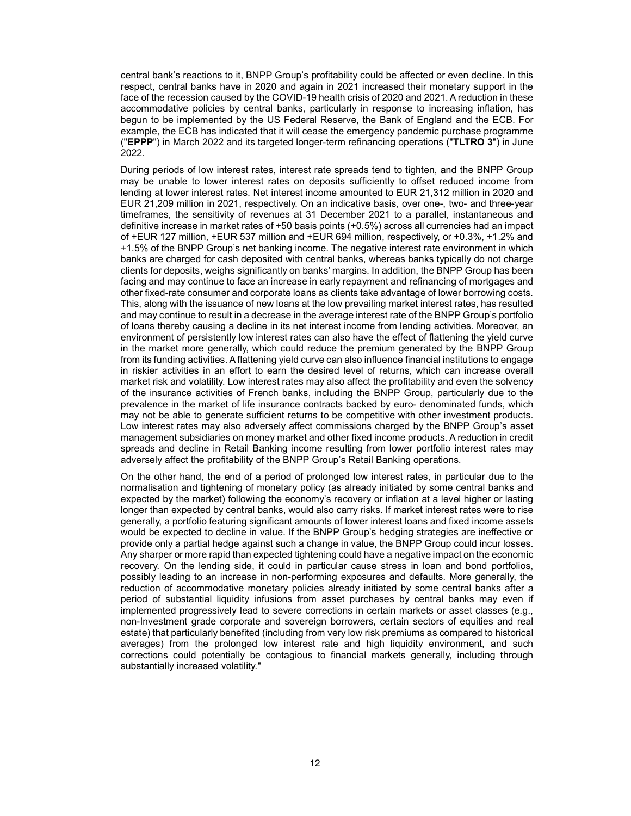central bank's reactions to it, BNPP Group's profitability could be affected or even decline. In this respect, central banks have in 2020 and again in 2021 increased their monetary support in the face of the recession caused by the COVID-19 health crisis of 2020 and 2021. A reduction in these accommodative policies by central banks, particularly in response to increasing inflation, has begun to be implemented by the US Federal Reserve, the Bank of England and the ECB. For example, the ECB has indicated that it will cease the emergency pandemic purchase programme ("EPPP") in March 2022 and its targeted longer-term refinancing operations ("TLTRO 3") in June 2022.

During periods of low interest rates, interest rate spreads tend to tighten, and the BNPP Group may be unable to lower interest rates on deposits sufficiently to offset reduced income from lending at lower interest rates. Net interest income amounted to EUR 21,312 million in 2020 and EUR 21,209 million in 2021, respectively. On an indicative basis, over one-, two- and three-year timeframes, the sensitivity of revenues at 31 December 2021 to a parallel, instantaneous and definitive increase in market rates of +50 basis points (+0.5%) across all currencies had an impact of +EUR 127 million, +EUR 537 million and +EUR 694 million, respectively, or +0.3%, +1.2% and +1.5% of the BNPP Group's net banking income. The negative interest rate environment in which banks are charged for cash deposited with central banks, whereas banks typically do not charge clients for deposits, weighs significantly on banks' margins. In addition, the BNPP Group has been facing and may continue to face an increase in early repayment and refinancing of mortgages and other fixed-rate consumer and corporate loans as clients take advantage of lower borrowing costs. This, along with the issuance of new loans at the low prevailing market interest rates, has resulted and may continue to result in a decrease in the average interest rate of the BNPP Group's portfolio of loans thereby causing a decline in its net interest income from lending activities. Moreover, an environment of persistently low interest rates can also have the effect of flattening the yield curve in the market more generally, which could reduce the premium generated by the BNPP Group from its funding activities. A flattening yield curve can also influence financial institutions to engage in riskier activities in an effort to earn the desired level of returns, which can increase overall market risk and volatility. Low interest rates may also affect the profitability and even the solvency of the insurance activities of French banks, including the BNPP Group, particularly due to the prevalence in the market of life insurance contracts backed by euro- denominated funds, which may not be able to generate sufficient returns to be competitive with other investment products. Low interest rates may also adversely affect commissions charged by the BNPP Group's asset management subsidiaries on money market and other fixed income products. A reduction in credit spreads and decline in Retail Banking income resulting from lower portfolio interest rates may adversely affect the profitability of the BNPP Group's Retail Banking operations.

On the other hand, the end of a period of prolonged low interest rates, in particular due to the normalisation and tightening of monetary policy (as already initiated by some central banks and expected by the market) following the economy's recovery or inflation at a level higher or lasting longer than expected by central banks, would also carry risks. If market interest rates were to rise generally, a portfolio featuring significant amounts of lower interest loans and fixed income assets would be expected to decline in value. If the BNPP Group's hedging strategies are ineffective or provide only a partial hedge against such a change in value, the BNPP Group could incur losses. Any sharper or more rapid than expected tightening could have a negative impact on the economic recovery. On the lending side, it could in particular cause stress in loan and bond portfolios, possibly leading to an increase in non-performing exposures and defaults. More generally, the reduction of accommodative monetary policies already initiated by some central banks after a period of substantial liquidity infusions from asset purchases by central banks may even if implemented progressively lead to severe corrections in certain markets or asset classes (e.g., non-Investment grade corporate and sovereign borrowers, certain sectors of equities and real estate) that particularly benefited (including from very low risk premiums as compared to historical averages) from the prolonged low interest rate and high liquidity environment, and such corrections could potentially be contagious to financial markets generally, including through substantially increased volatility."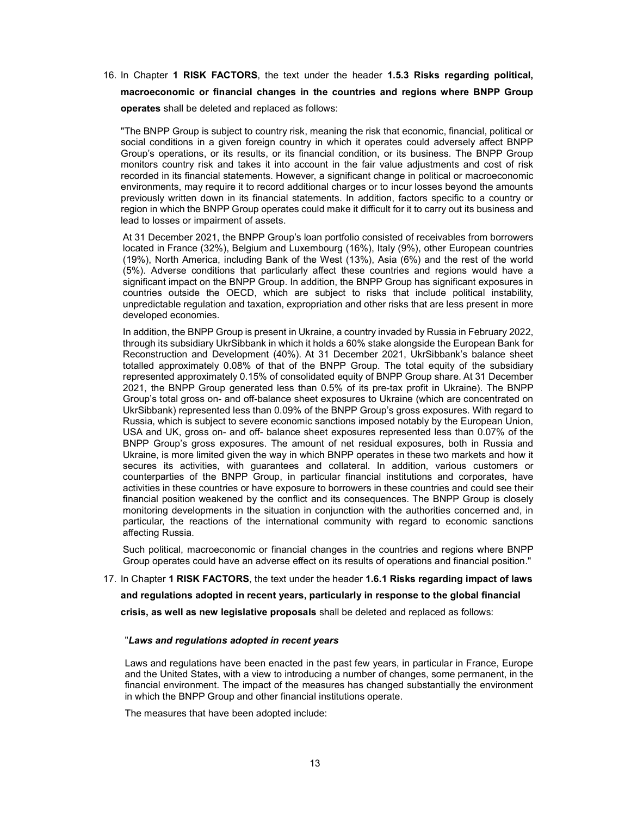16. In Chapter 1 RISK FACTORS, the text under the header 1.5.3 Risks regarding political, macroeconomic or financial changes in the countries and regions where BNPP Group operates shall be deleted and replaced as follows:

"The BNPP Group is subject to country risk, meaning the risk that economic, financial, political or social conditions in a given foreign country in which it operates could adversely affect BNPP Group's operations, or its results, or its financial condition, or its business. The BNPP Group monitors country risk and takes it into account in the fair value adjustments and cost of risk recorded in its financial statements. However, a significant change in political or macroeconomic environments, may require it to record additional charges or to incur losses beyond the amounts previously written down in its financial statements. In addition, factors specific to a country or region in which the BNPP Group operates could make it difficult for it to carry out its business and lead to losses or impairment of assets.

At 31 December 2021, the BNPP Group's loan portfolio consisted of receivables from borrowers located in France (32%), Belgium and Luxembourg (16%), Italy (9%), other European countries (19%), North America, including Bank of the West (13%), Asia (6%) and the rest of the world (5%). Adverse conditions that particularly affect these countries and regions would have a significant impact on the BNPP Group. In addition, the BNPP Group has significant exposures in countries outside the OECD, which are subject to risks that include political instability, unpredictable regulation and taxation, expropriation and other risks that are less present in more developed economies.

In addition, the BNPP Group is present in Ukraine, a country invaded by Russia in February 2022, through its subsidiary UkrSibbank in which it holds a 60% stake alongside the European Bank for Reconstruction and Development (40%). At 31 December 2021, UkrSibbank's balance sheet totalled approximately 0.08% of that of the BNPP Group. The total equity of the subsidiary represented approximately 0.15% of consolidated equity of BNPP Group share. At 31 December 2021, the BNPP Group generated less than 0.5% of its pre-tax profit in Ukraine). The BNPP Group's total gross on- and off-balance sheet exposures to Ukraine (which are concentrated on UkrSibbank) represented less than 0.09% of the BNPP Group's gross exposures. With regard to Russia, which is subject to severe economic sanctions imposed notably by the European Union, USA and UK, gross on- and off- balance sheet exposures represented less than 0.07% of the BNPP Group's gross exposures. The amount of net residual exposures, both in Russia and Ukraine, is more limited given the way in which BNPP operates in these two markets and how it secures its activities, with guarantees and collateral. In addition, various customers or counterparties of the BNPP Group, in particular financial institutions and corporates, have activities in these countries or have exposure to borrowers in these countries and could see their financial position weakened by the conflict and its consequences. The BNPP Group is closely monitoring developments in the situation in conjunction with the authorities concerned and, in particular, the reactions of the international community with regard to economic sanctions affecting Russia.

Such political, macroeconomic or financial changes in the countries and regions where BNPP Group operates could have an adverse effect on its results of operations and financial position."

# 17. In Chapter 1 RISK FACTORS, the text under the header 1.6.1 Risks regarding impact of laws

and regulations adopted in recent years, particularly in response to the global financial

crisis, as well as new legislative proposals shall be deleted and replaced as follows:

## "Laws and regulations adopted in recent years

Laws and regulations have been enacted in the past few years, in particular in France, Europe and the United States, with a view to introducing a number of changes, some permanent, in the financial environment. The impact of the measures has changed substantially the environment in which the BNPP Group and other financial institutions operate.

The measures that have been adopted include: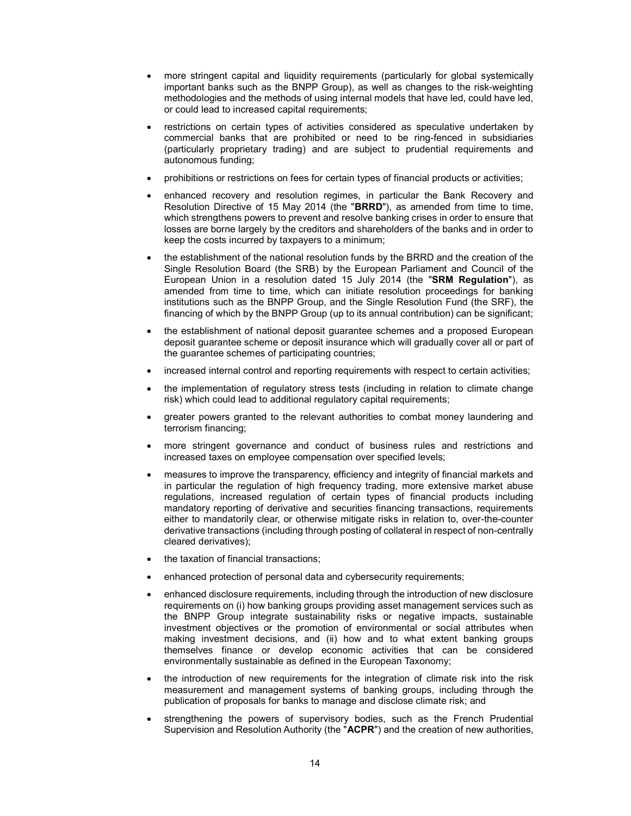- more stringent capital and liquidity requirements (particularly for global systemically important banks such as the BNPP Group), as well as changes to the risk-weighting methodologies and the methods of using internal models that have led, could have led, or could lead to increased capital requirements;
- restrictions on certain types of activities considered as speculative undertaken by commercial banks that are prohibited or need to be ring-fenced in subsidiaries (particularly proprietary trading) and are subject to prudential requirements and autonomous funding;
- prohibitions or restrictions on fees for certain types of financial products or activities;
- enhanced recovery and resolution regimes, in particular the Bank Recovery and Resolution Directive of 15 May 2014 (the "BRRD"), as amended from time to time, which strengthens powers to prevent and resolve banking crises in order to ensure that losses are borne largely by the creditors and shareholders of the banks and in order to keep the costs incurred by taxpayers to a minimum;
- the establishment of the national resolution funds by the BRRD and the creation of the Single Resolution Board (the SRB) by the European Parliament and Council of the European Union in a resolution dated 15 July 2014 (the "SRM Regulation"), as amended from time to time, which can initiate resolution proceedings for banking institutions such as the BNPP Group, and the Single Resolution Fund (the SRF), the financing of which by the BNPP Group (up to its annual contribution) can be significant;
- the establishment of national deposit guarantee schemes and a proposed European deposit guarantee scheme or deposit insurance which will gradually cover all or part of the guarantee schemes of participating countries;
- increased internal control and reporting requirements with respect to certain activities;
- the implementation of regulatory stress tests (including in relation to climate change risk) which could lead to additional regulatory capital requirements;
- greater powers granted to the relevant authorities to combat money laundering and terrorism financing;
- more stringent governance and conduct of business rules and restrictions and increased taxes on employee compensation over specified levels;
- measures to improve the transparency, efficiency and integrity of financial markets and in particular the regulation of high frequency trading, more extensive market abuse regulations, increased regulation of certain types of financial products including mandatory reporting of derivative and securities financing transactions, requirements either to mandatorily clear, or otherwise mitigate risks in relation to, over-the-counter derivative transactions (including through posting of collateral in respect of non-centrally cleared derivatives);
- the taxation of financial transactions;
- enhanced protection of personal data and cybersecurity requirements;
- enhanced disclosure requirements, including through the introduction of new disclosure requirements on (i) how banking groups providing asset management services such as the BNPP Group integrate sustainability risks or negative impacts, sustainable investment objectives or the promotion of environmental or social attributes when making investment decisions, and (ii) how and to what extent banking groups themselves finance or develop economic activities that can be considered environmentally sustainable as defined in the European Taxonomy;
- the introduction of new requirements for the integration of climate risk into the risk measurement and management systems of banking groups, including through the publication of proposals for banks to manage and disclose climate risk; and
- strengthening the powers of supervisory bodies, such as the French Prudential Supervision and Resolution Authority (the "ACPR") and the creation of new authorities,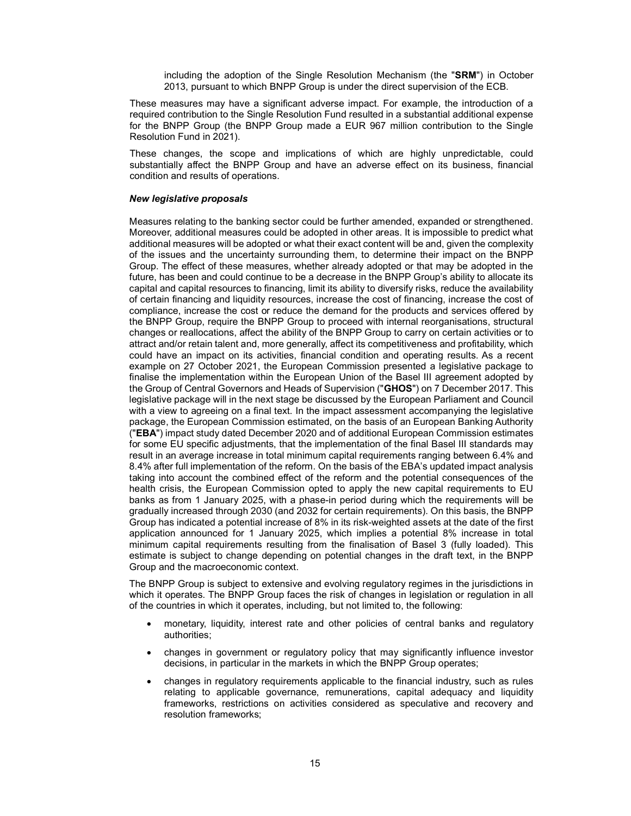including the adoption of the Single Resolution Mechanism (the "SRM") in October 2013, pursuant to which BNPP Group is under the direct supervision of the ECB.

These measures may have a significant adverse impact. For example, the introduction of a required contribution to the Single Resolution Fund resulted in a substantial additional expense for the BNPP Group (the BNPP Group made a EUR 967 million contribution to the Single Resolution Fund in 2021).

These changes, the scope and implications of which are highly unpredictable, could substantially affect the BNPP Group and have an adverse effect on its business, financial condition and results of operations.

# New legislative proposals

Measures relating to the banking sector could be further amended, expanded or strengthened. Moreover, additional measures could be adopted in other areas. It is impossible to predict what additional measures will be adopted or what their exact content will be and, given the complexity of the issues and the uncertainty surrounding them, to determine their impact on the BNPP Group. The effect of these measures, whether already adopted or that may be adopted in the future, has been and could continue to be a decrease in the BNPP Group's ability to allocate its capital and capital resources to financing, limit its ability to diversify risks, reduce the availability of certain financing and liquidity resources, increase the cost of financing, increase the cost of compliance, increase the cost or reduce the demand for the products and services offered by the BNPP Group, require the BNPP Group to proceed with internal reorganisations, structural changes or reallocations, affect the ability of the BNPP Group to carry on certain activities or to attract and/or retain talent and, more generally, affect its competitiveness and profitability, which could have an impact on its activities, financial condition and operating results. As a recent example on 27 October 2021, the European Commission presented a legislative package to finalise the implementation within the European Union of the Basel III agreement adopted by the Group of Central Governors and Heads of Supervision ("GHOS") on 7 December 2017. This legislative package will in the next stage be discussed by the European Parliament and Council with a view to agreeing on a final text. In the impact assessment accompanying the legislative package, the European Commission estimated, on the basis of an European Banking Authority ("EBA") impact study dated December 2020 and of additional European Commission estimates for some EU specific adjustments, that the implementation of the final Basel III standards may result in an average increase in total minimum capital requirements ranging between 6.4% and 8.4% after full implementation of the reform. On the basis of the EBA's updated impact analysis taking into account the combined effect of the reform and the potential consequences of the health crisis, the European Commission opted to apply the new capital requirements to EU banks as from 1 January 2025, with a phase-in period during which the requirements will be gradually increased through 2030 (and 2032 for certain requirements). On this basis, the BNPP Group has indicated a potential increase of 8% in its risk-weighted assets at the date of the first application announced for 1 January 2025, which implies a potential 8% increase in total minimum capital requirements resulting from the finalisation of Basel 3 (fully loaded). This estimate is subject to change depending on potential changes in the draft text, in the BNPP Group and the macroeconomic context.

The BNPP Group is subject to extensive and evolving regulatory regimes in the jurisdictions in which it operates. The BNPP Group faces the risk of changes in legislation or regulation in all of the countries in which it operates, including, but not limited to, the following:

- monetary, liquidity, interest rate and other policies of central banks and regulatory authorities;
- changes in government or regulatory policy that may significantly influence investor decisions, in particular in the markets in which the BNPP Group operates;
- changes in regulatory requirements applicable to the financial industry, such as rules relating to applicable governance, remunerations, capital adequacy and liquidity frameworks, restrictions on activities considered as speculative and recovery and resolution frameworks;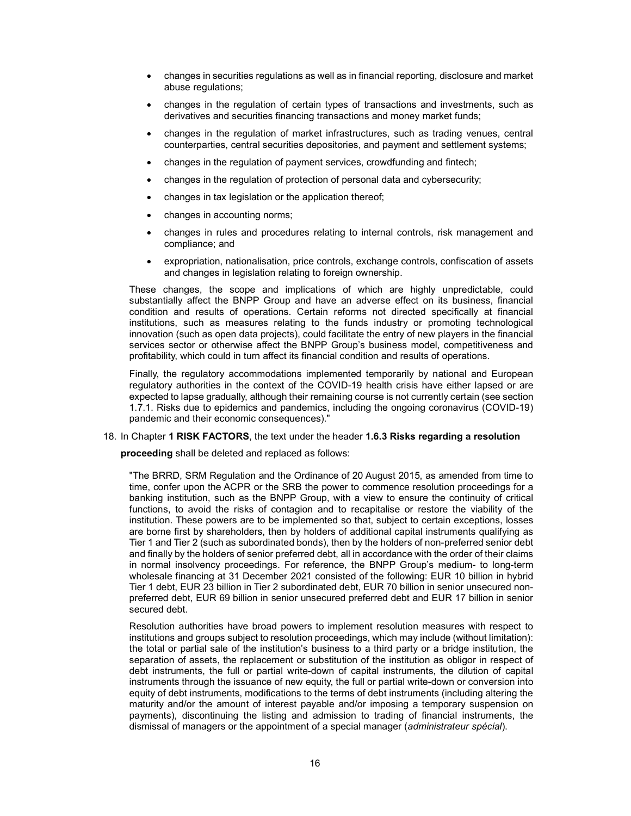- changes in securities regulations as well as in financial reporting, disclosure and market abuse regulations;
- changes in the regulation of certain types of transactions and investments, such as derivatives and securities financing transactions and money market funds;
- changes in the regulation of market infrastructures, such as trading venues, central counterparties, central securities depositories, and payment and settlement systems;
- changes in the regulation of payment services, crowdfunding and fintech;
- changes in the regulation of protection of personal data and cybersecurity;
- changes in tax legislation or the application thereof;
- changes in accounting norms;
- changes in rules and procedures relating to internal controls, risk management and compliance; and
- expropriation, nationalisation, price controls, exchange controls, confiscation of assets and changes in legislation relating to foreign ownership.

These changes, the scope and implications of which are highly unpredictable, could substantially affect the BNPP Group and have an adverse effect on its business, financial condition and results of operations. Certain reforms not directed specifically at financial institutions, such as measures relating to the funds industry or promoting technological innovation (such as open data projects), could facilitate the entry of new players in the financial services sector or otherwise affect the BNPP Group's business model, competitiveness and profitability, which could in turn affect its financial condition and results of operations.

Finally, the regulatory accommodations implemented temporarily by national and European regulatory authorities in the context of the COVID-19 health crisis have either lapsed or are expected to lapse gradually, although their remaining course is not currently certain (see section 1.7.1. Risks due to epidemics and pandemics, including the ongoing coronavirus (COVID-19) pandemic and their economic consequences)."

## 18. In Chapter 1 RISK FACTORS, the text under the header 1.6.3 Risks regarding a resolution

proceeding shall be deleted and replaced as follows:

"The BRRD, SRM Regulation and the Ordinance of 20 August 2015, as amended from time to time, confer upon the ACPR or the SRB the power to commence resolution proceedings for a banking institution, such as the BNPP Group, with a view to ensure the continuity of critical functions, to avoid the risks of contagion and to recapitalise or restore the viability of the institution. These powers are to be implemented so that, subject to certain exceptions, losses are borne first by shareholders, then by holders of additional capital instruments qualifying as Tier 1 and Tier 2 (such as subordinated bonds), then by the holders of non-preferred senior debt and finally by the holders of senior preferred debt, all in accordance with the order of their claims in normal insolvency proceedings. For reference, the BNPP Group's medium- to long-term wholesale financing at 31 December 2021 consisted of the following: EUR 10 billion in hybrid Tier 1 debt, EUR 23 billion in Tier 2 subordinated debt, EUR 70 billion in senior unsecured nonpreferred debt, EUR 69 billion in senior unsecured preferred debt and EUR 17 billion in senior secured debt.

Resolution authorities have broad powers to implement resolution measures with respect to institutions and groups subject to resolution proceedings, which may include (without limitation): the total or partial sale of the institution's business to a third party or a bridge institution, the separation of assets, the replacement or substitution of the institution as obligor in respect of debt instruments, the full or partial write-down of capital instruments, the dilution of capital instruments through the issuance of new equity, the full or partial write-down or conversion into equity of debt instruments, modifications to the terms of debt instruments (including altering the maturity and/or the amount of interest payable and/or imposing a temporary suspension on payments), discontinuing the listing and admission to trading of financial instruments, the dismissal of managers or the appointment of a special manager (administrateur spécial).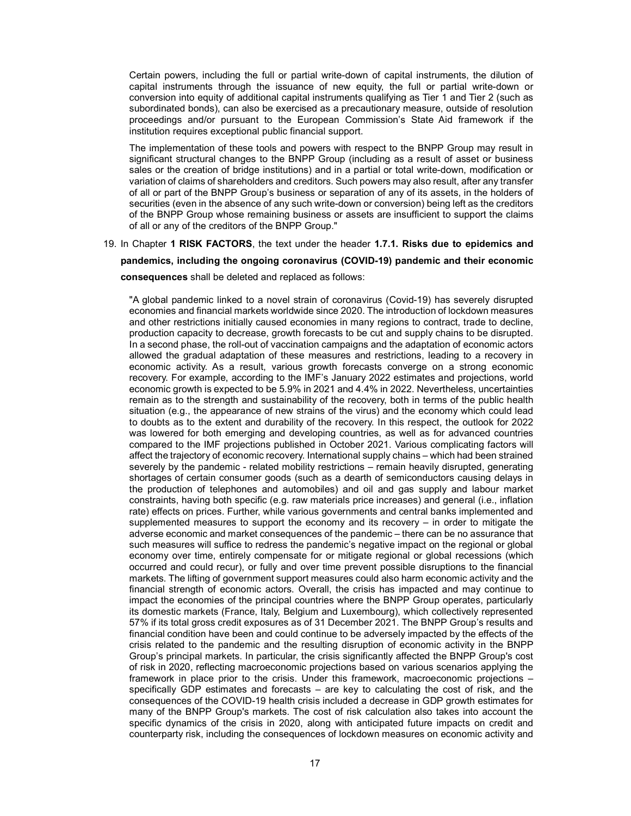Certain powers, including the full or partial write-down of capital instruments, the dilution of capital instruments through the issuance of new equity, the full or partial write-down or conversion into equity of additional capital instruments qualifying as Tier 1 and Tier 2 (such as subordinated bonds), can also be exercised as a precautionary measure, outside of resolution proceedings and/or pursuant to the European Commission's State Aid framework if the institution requires exceptional public financial support.

The implementation of these tools and powers with respect to the BNPP Group may result in significant structural changes to the BNPP Group (including as a result of asset or business sales or the creation of bridge institutions) and in a partial or total write-down, modification or variation of claims of shareholders and creditors. Such powers may also result, after any transfer of all or part of the BNPP Group's business or separation of any of its assets, in the holders of securities (even in the absence of any such write-down or conversion) being left as the creditors of the BNPP Group whose remaining business or assets are insufficient to support the claims of all or any of the creditors of the BNPP Group."

# 19. In Chapter 1 RISK FACTORS, the text under the header 1.7.1. Risks due to epidemics and pandemics, including the ongoing coronavirus (COVID-19) pandemic and their economic consequences shall be deleted and replaced as follows:

"A global pandemic linked to a novel strain of coronavirus (Covid-19) has severely disrupted economies and financial markets worldwide since 2020. The introduction of lockdown measures and other restrictions initially caused economies in many regions to contract, trade to decline, production capacity to decrease, growth forecasts to be cut and supply chains to be disrupted. In a second phase, the roll-out of vaccination campaigns and the adaptation of economic actors allowed the gradual adaptation of these measures and restrictions, leading to a recovery in economic activity. As a result, various growth forecasts converge on a strong economic recovery. For example, according to the IMF's January 2022 estimates and projections, world economic growth is expected to be 5.9% in 2021 and 4.4% in 2022. Nevertheless, uncertainties remain as to the strength and sustainability of the recovery, both in terms of the public health situation (e.g., the appearance of new strains of the virus) and the economy which could lead to doubts as to the extent and durability of the recovery. In this respect, the outlook for 2022 was lowered for both emerging and developing countries, as well as for advanced countries compared to the IMF projections published in October 2021. Various complicating factors will affect the trajectory of economic recovery. International supply chains – which had been strained severely by the pandemic - related mobility restrictions – remain heavily disrupted, generating shortages of certain consumer goods (such as a dearth of semiconductors causing delays in the production of telephones and automobiles) and oil and gas supply and labour market constraints, having both specific (e.g. raw materials price increases) and general (i.e., inflation rate) effects on prices. Further, while various governments and central banks implemented and supplemented measures to support the economy and its recovery  $-$  in order to mitigate the adverse economic and market consequences of the pandemic – there can be no assurance that such measures will suffice to redress the pandemic's negative impact on the regional or global economy over time, entirely compensate for or mitigate regional or global recessions (which occurred and could recur), or fully and over time prevent possible disruptions to the financial markets. The lifting of government support measures could also harm economic activity and the financial strength of economic actors. Overall, the crisis has impacted and may continue to impact the economies of the principal countries where the BNPP Group operates, particularly its domestic markets (France, Italy, Belgium and Luxembourg), which collectively represented 57% if its total gross credit exposures as of 31 December 2021. The BNPP Group's results and financial condition have been and could continue to be adversely impacted by the effects of the crisis related to the pandemic and the resulting disruption of economic activity in the BNPP Group's principal markets. In particular, the crisis significantly affected the BNPP Group's cost of risk in 2020, reflecting macroeconomic projections based on various scenarios applying the framework in place prior to the crisis. Under this framework, macroeconomic projections – specifically GDP estimates and forecasts – are key to calculating the cost of risk, and the consequences of the COVID-19 health crisis included a decrease in GDP growth estimates for many of the BNPP Group's markets. The cost of risk calculation also takes into account the specific dynamics of the crisis in 2020, along with anticipated future impacts on credit and counterparty risk, including the consequences of lockdown measures on economic activity and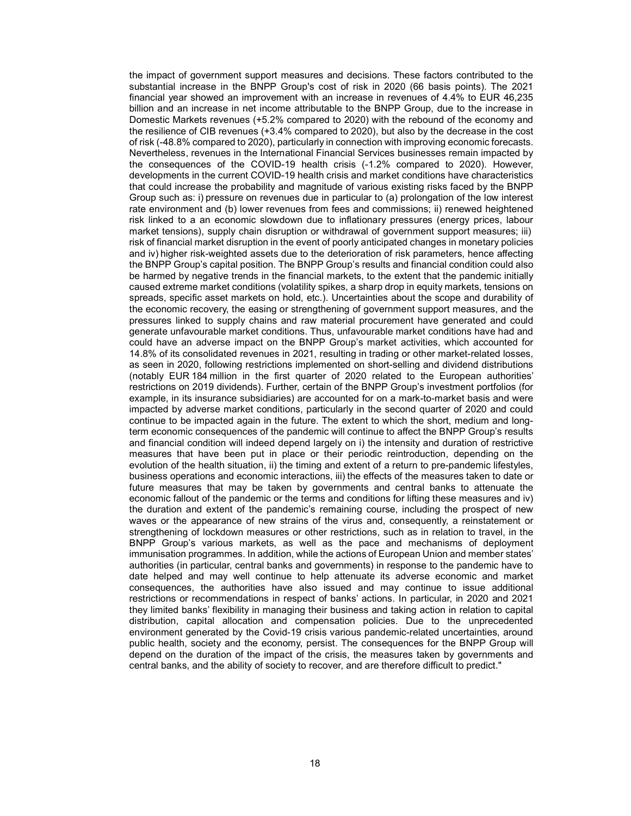the impact of government support measures and decisions. These factors contributed to the substantial increase in the BNPP Group's cost of risk in 2020 (66 basis points). The 2021 financial year showed an improvement with an increase in revenues of 4.4% to EUR 46,235 billion and an increase in net income attributable to the BNPP Group, due to the increase in Domestic Markets revenues (+5.2% compared to 2020) with the rebound of the economy and the resilience of CIB revenues (+3.4% compared to 2020), but also by the decrease in the cost of risk (-48.8% compared to 2020), particularly in connection with improving economic forecasts. Nevertheless, revenues in the International Financial Services businesses remain impacted by the consequences of the COVID-19 health crisis (-1.2% compared to 2020). However, developments in the current COVID-19 health crisis and market conditions have characteristics that could increase the probability and magnitude of various existing risks faced by the BNPP Group such as: i) pressure on revenues due in particular to (a) prolongation of the low interest rate environment and (b) lower revenues from fees and commissions; ii) renewed heightened risk linked to a an economic slowdown due to inflationary pressures (energy prices, labour market tensions), supply chain disruption or withdrawal of government support measures; iii) risk of financial market disruption in the event of poorly anticipated changes in monetary policies and iv) higher risk-weighted assets due to the deterioration of risk parameters, hence affecting the BNPP Group's capital position. The BNPP Group's results and financial condition could also be harmed by negative trends in the financial markets, to the extent that the pandemic initially caused extreme market conditions (volatility spikes, a sharp drop in equity markets, tensions on spreads, specific asset markets on hold, etc.). Uncertainties about the scope and durability of the economic recovery, the easing or strengthening of government support measures, and the pressures linked to supply chains and raw material procurement have generated and could generate unfavourable market conditions. Thus, unfavourable market conditions have had and could have an adverse impact on the BNPP Group's market activities, which accounted for 14.8% of its consolidated revenues in 2021, resulting in trading or other market-related losses, as seen in 2020, following restrictions implemented on short-selling and dividend distributions (notably EUR 184 million in the first quarter of 2020 related to the European authorities' restrictions on 2019 dividends). Further, certain of the BNPP Group's investment portfolios (for example, in its insurance subsidiaries) are accounted for on a mark-to-market basis and were impacted by adverse market conditions, particularly in the second quarter of 2020 and could continue to be impacted again in the future. The extent to which the short, medium and longterm economic consequences of the pandemic will continue to affect the BNPP Group's results and financial condition will indeed depend largely on i) the intensity and duration of restrictive measures that have been put in place or their periodic reintroduction, depending on the evolution of the health situation, ii) the timing and extent of a return to pre-pandemic lifestyles, business operations and economic interactions, iii) the effects of the measures taken to date or future measures that may be taken by governments and central banks to attenuate the economic fallout of the pandemic or the terms and conditions for lifting these measures and iv) the duration and extent of the pandemic's remaining course, including the prospect of new waves or the appearance of new strains of the virus and, consequently, a reinstatement or strengthening of lockdown measures or other restrictions, such as in relation to travel, in the BNPP Group's various markets, as well as the pace and mechanisms of deployment immunisation programmes. In addition, while the actions of European Union and member states' authorities (in particular, central banks and governments) in response to the pandemic have to date helped and may well continue to help attenuate its adverse economic and market consequences, the authorities have also issued and may continue to issue additional restrictions or recommendations in respect of banks' actions. In particular, in 2020 and 2021 they limited banks' flexibility in managing their business and taking action in relation to capital distribution, capital allocation and compensation policies. Due to the unprecedented environment generated by the Covid-19 crisis various pandemic-related uncertainties, around public health, society and the economy, persist. The consequences for the BNPP Group will depend on the duration of the impact of the crisis, the measures taken by governments and central banks, and the ability of society to recover, and are therefore difficult to predict."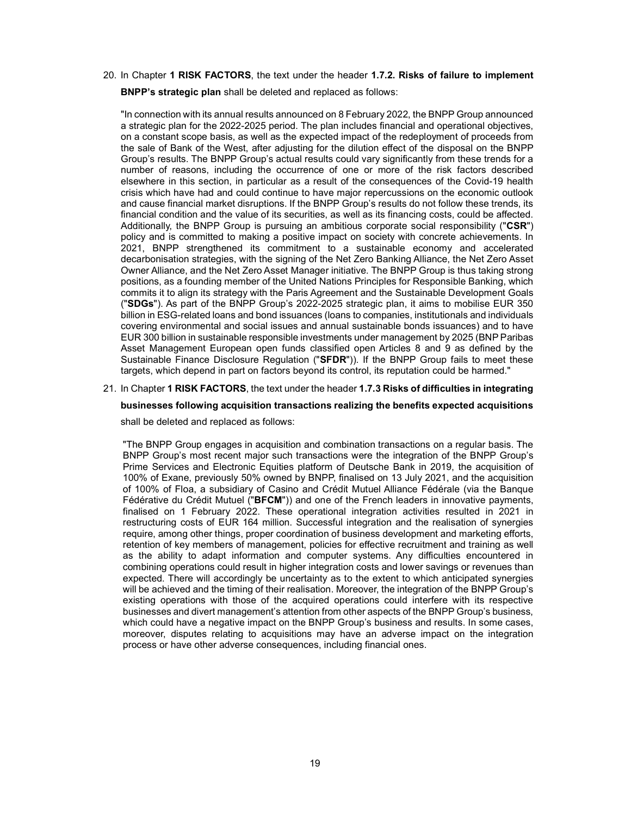20. In Chapter 1 RISK FACTORS, the text under the header 1.7.2. Risks of failure to implement

BNPP's strategic plan shall be deleted and replaced as follows:

"In connection with its annual results announced on 8 February 2022, the BNPP Group announced a strategic plan for the 2022-2025 period. The plan includes financial and operational objectives, on a constant scope basis, as well as the expected impact of the redeployment of proceeds from the sale of Bank of the West, after adjusting for the dilution effect of the disposal on the BNPP Group's results. The BNPP Group's actual results could vary significantly from these trends for a number of reasons, including the occurrence of one or more of the risk factors described elsewhere in this section, in particular as a result of the consequences of the Covid-19 health crisis which have had and could continue to have major repercussions on the economic outlook and cause financial market disruptions. If the BNPP Group's results do not follow these trends, its financial condition and the value of its securities, as well as its financing costs, could be affected. Additionally, the BNPP Group is pursuing an ambitious corporate social responsibility ("CSR") policy and is committed to making a positive impact on society with concrete achievements. In 2021, BNPP strengthened its commitment to a sustainable economy and accelerated decarbonisation strategies, with the signing of the Net Zero Banking Alliance, the Net Zero Asset Owner Alliance, and the Net Zero Asset Manager initiative. The BNPP Group is thus taking strong positions, as a founding member of the United Nations Principles for Responsible Banking, which commits it to align its strategy with the Paris Agreement and the Sustainable Development Goals ("SDGs"). As part of the BNPP Group's 2022-2025 strategic plan, it aims to mobilise EUR 350 billion in ESG-related loans and bond issuances (loans to companies, institutionals and individuals covering environmental and social issues and annual sustainable bonds issuances) and to have EUR 300 billion in sustainable responsible investments under management by 2025 (BNP Paribas Asset Management European open funds classified open Articles 8 and 9 as defined by the Sustainable Finance Disclosure Regulation ("SFDR")). If the BNPP Group fails to meet these targets, which depend in part on factors beyond its control, its reputation could be harmed."

21. In Chapter 1 RISK FACTORS, the text under the header 1.7.3 Risks of difficulties in integrating

# businesses following acquisition transactions realizing the benefits expected acquisitions

shall be deleted and replaced as follows:

"The BNPP Group engages in acquisition and combination transactions on a regular basis. The BNPP Group's most recent major such transactions were the integration of the BNPP Group's Prime Services and Electronic Equities platform of Deutsche Bank in 2019, the acquisition of 100% of Exane, previously 50% owned by BNPP, finalised on 13 July 2021, and the acquisition of 100% of Floa, a subsidiary of Casino and Crédit Mutuel Alliance Fédérale (via the Banque Fédérative du Crédit Mutuel ("BFCM")) and one of the French leaders in innovative payments, finalised on 1 February 2022. These operational integration activities resulted in 2021 in restructuring costs of EUR 164 million. Successful integration and the realisation of synergies require, among other things, proper coordination of business development and marketing efforts, retention of key members of management, policies for effective recruitment and training as well as the ability to adapt information and computer systems. Any difficulties encountered in combining operations could result in higher integration costs and lower savings or revenues than expected. There will accordingly be uncertainty as to the extent to which anticipated synergies will be achieved and the timing of their realisation. Moreover, the integration of the BNPP Group's existing operations with those of the acquired operations could interfere with its respective businesses and divert management's attention from other aspects of the BNPP Group's business, which could have a negative impact on the BNPP Group's business and results. In some cases, moreover, disputes relating to acquisitions may have an adverse impact on the integration process or have other adverse consequences, including financial ones.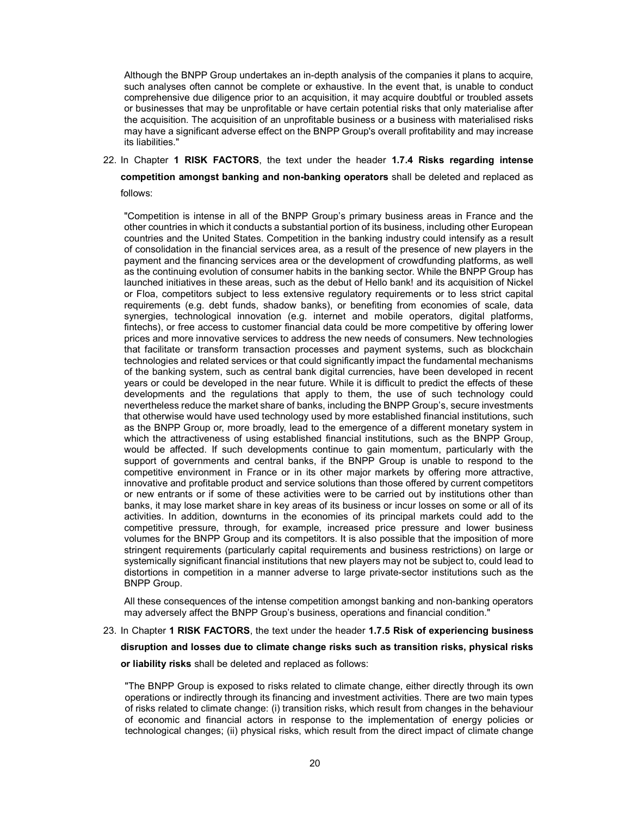Although the BNPP Group undertakes an in-depth analysis of the companies it plans to acquire, such analyses often cannot be complete or exhaustive. In the event that, is unable to conduct comprehensive due diligence prior to an acquisition, it may acquire doubtful or troubled assets or businesses that may be unprofitable or have certain potential risks that only materialise after the acquisition. The acquisition of an unprofitable business or a business with materialised risks may have a significant adverse effect on the BNPP Group's overall profitability and may increase its liabilities."

22. In Chapter 1 RISK FACTORS, the text under the header 1.7.4 Risks regarding intense

competition amongst banking and non-banking operators shall be deleted and replaced as

follows:

"Competition is intense in all of the BNPP Group's primary business areas in France and the other countries in which it conducts a substantial portion of its business, including other European countries and the United States. Competition in the banking industry could intensify as a result of consolidation in the financial services area, as a result of the presence of new players in the payment and the financing services area or the development of crowdfunding platforms, as well as the continuing evolution of consumer habits in the banking sector. While the BNPP Group has launched initiatives in these areas, such as the debut of Hello bank! and its acquisition of Nickel or Floa, competitors subject to less extensive regulatory requirements or to less strict capital requirements (e.g. debt funds, shadow banks), or benefiting from economies of scale, data synergies, technological innovation (e.g. internet and mobile operators, digital platforms, fintechs), or free access to customer financial data could be more competitive by offering lower prices and more innovative services to address the new needs of consumers. New technologies that facilitate or transform transaction processes and payment systems, such as blockchain technologies and related services or that could significantly impact the fundamental mechanisms of the banking system, such as central bank digital currencies, have been developed in recent years or could be developed in the near future. While it is difficult to predict the effects of these developments and the regulations that apply to them, the use of such technology could nevertheless reduce the market share of banks, including the BNPP Group's, secure investments that otherwise would have used technology used by more established financial institutions, such as the BNPP Group or, more broadly, lead to the emergence of a different monetary system in which the attractiveness of using established financial institutions, such as the BNPP Group, would be affected. If such developments continue to gain momentum, particularly with the support of governments and central banks, if the BNPP Group is unable to respond to the competitive environment in France or in its other major markets by offering more attractive, innovative and profitable product and service solutions than those offered by current competitors or new entrants or if some of these activities were to be carried out by institutions other than banks, it may lose market share in key areas of its business or incur losses on some or all of its activities. In addition, downturns in the economies of its principal markets could add to the competitive pressure, through, for example, increased price pressure and lower business volumes for the BNPP Group and its competitors. It is also possible that the imposition of more stringent requirements (particularly capital requirements and business restrictions) on large or systemically significant financial institutions that new players may not be subject to, could lead to distortions in competition in a manner adverse to large private-sector institutions such as the BNPP Group.

All these consequences of the intense competition amongst banking and non-banking operators may adversely affect the BNPP Group's business, operations and financial condition."

23. In Chapter 1 RISK FACTORS, the text under the header 1.7.5 Risk of experiencing business

disruption and losses due to climate change risks such as transition risks, physical risks

or liability risks shall be deleted and replaced as follows:

"The BNPP Group is exposed to risks related to climate change, either directly through its own operations or indirectly through its financing and investment activities. There are two main types of risks related to climate change: (i) transition risks, which result from changes in the behaviour of economic and financial actors in response to the implementation of energy policies or technological changes; (ii) physical risks, which result from the direct impact of climate change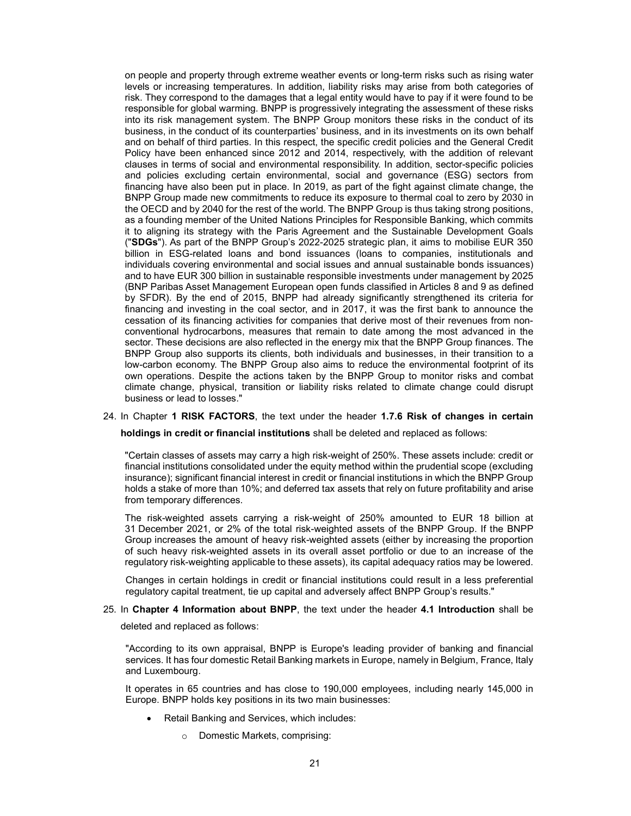on people and property through extreme weather events or long-term risks such as rising water levels or increasing temperatures. In addition, liability risks may arise from both categories of risk. They correspond to the damages that a legal entity would have to pay if it were found to be responsible for global warming. BNPP is progressively integrating the assessment of these risks into its risk management system. The BNPP Group monitors these risks in the conduct of its business, in the conduct of its counterparties' business, and in its investments on its own behalf and on behalf of third parties. In this respect, the specific credit policies and the General Credit Policy have been enhanced since 2012 and 2014, respectively, with the addition of relevant clauses in terms of social and environmental responsibility. In addition, sector-specific policies and policies excluding certain environmental, social and governance (ESG) sectors from financing have also been put in place. In 2019, as part of the fight against climate change, the BNPP Group made new commitments to reduce its exposure to thermal coal to zero by 2030 in the OECD and by 2040 for the rest of the world. The BNPP Group is thus taking strong positions, as a founding member of the United Nations Principles for Responsible Banking, which commits it to aligning its strategy with the Paris Agreement and the Sustainable Development Goals ("SDGs"). As part of the BNPP Group's 2022-2025 strategic plan, it aims to mobilise EUR 350 billion in ESG-related loans and bond issuances (loans to companies, institutionals and individuals covering environmental and social issues and annual sustainable bonds issuances) and to have EUR 300 billion in sustainable responsible investments under management by 2025 (BNP Paribas Asset Management European open funds classified in Articles 8 and 9 as defined by SFDR). By the end of 2015, BNPP had already significantly strengthened its criteria for financing and investing in the coal sector, and in 2017, it was the first bank to announce the cessation of its financing activities for companies that derive most of their revenues from nonconventional hydrocarbons, measures that remain to date among the most advanced in the sector. These decisions are also reflected in the energy mix that the BNPP Group finances. The BNPP Group also supports its clients, both individuals and businesses, in their transition to a low-carbon economy. The BNPP Group also aims to reduce the environmental footprint of its own operations. Despite the actions taken by the BNPP Group to monitor risks and combat climate change, physical, transition or liability risks related to climate change could disrupt business or lead to losses."

### 24. In Chapter 1 RISK FACTORS, the text under the header 1.7.6 Risk of changes in certain

holdings in credit or financial institutions shall be deleted and replaced as follows:

"Certain classes of assets may carry a high risk-weight of 250%. These assets include: credit or financial institutions consolidated under the equity method within the prudential scope (excluding insurance); significant financial interest in credit or financial institutions in which the BNPP Group holds a stake of more than 10%; and deferred tax assets that rely on future profitability and arise from temporary differences.

The risk-weighted assets carrying a risk-weight of 250% amounted to EUR 18 billion at 31 December 2021, or 2% of the total risk-weighted assets of the BNPP Group. If the BNPP Group increases the amount of heavy risk-weighted assets (either by increasing the proportion of such heavy risk-weighted assets in its overall asset portfolio or due to an increase of the regulatory risk-weighting applicable to these assets), its capital adequacy ratios may be lowered.

Changes in certain holdings in credit or financial institutions could result in a less preferential regulatory capital treatment, tie up capital and adversely affect BNPP Group's results."

# 25. In Chapter 4 Information about BNPP, the text under the header 4.1 Introduction shall be

deleted and replaced as follows:

"According to its own appraisal, BNPP is Europe's leading provider of banking and financial services. It has four domestic Retail Banking markets in Europe, namely in Belgium, France, Italy and Luxembourg.

It operates in 65 countries and has close to 190,000 employees, including nearly 145,000 in Europe. BNPP holds key positions in its two main businesses:

- Retail Banking and Services, which includes:
	- o Domestic Markets, comprising: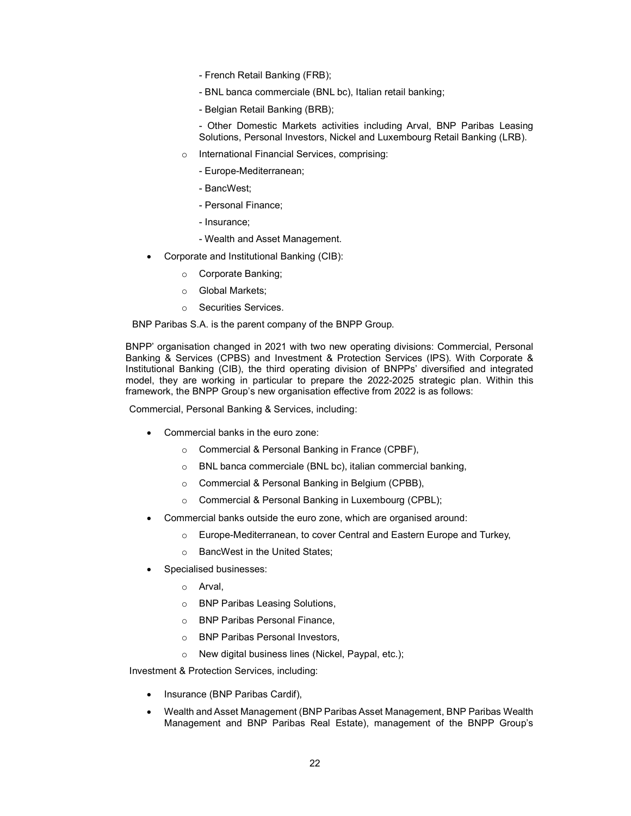- French Retail Banking (FRB);
- BNL banca commerciale (BNL bc), Italian retail banking;
- Belgian Retail Banking (BRB);

- Other Domestic Markets activities including Arval, BNP Paribas Leasing Solutions, Personal Investors, Nickel and Luxembourg Retail Banking (LRB).

- o International Financial Services, comprising:
	- Europe-Mediterranean;
	- BancWest;
	- Personal Finance;
	- Insurance;
	- Wealth and Asset Management.
- Corporate and Institutional Banking (CIB):
	- o Corporate Banking;
	- o Global Markets;
	- o Securities Services.

BNP Paribas S.A. is the parent company of the BNPP Group.

BNPP' organisation changed in 2021 with two new operating divisions: Commercial, Personal Banking & Services (CPBS) and Investment & Protection Services (IPS). With Corporate & Institutional Banking (CIB), the third operating division of BNPPs' diversified and integrated model, they are working in particular to prepare the 2022-2025 strategic plan. Within this framework, the BNPP Group's new organisation effective from 2022 is as follows:

Commercial, Personal Banking & Services, including:

- Commercial banks in the euro zone:
	- o Commercial & Personal Banking in France (CPBF),
	- o BNL banca commerciale (BNL bc), italian commercial banking,
	- o Commercial & Personal Banking in Belgium (CPBB),
	- o Commercial & Personal Banking in Luxembourg (CPBL);
- Commercial banks outside the euro zone, which are organised around:
	- o Europe-Mediterranean, to cover Central and Eastern Europe and Turkey,
	- o BancWest in the United States;
- Specialised businesses:
	- o Arval,
	- o BNP Paribas Leasing Solutions,
	- o BNP Paribas Personal Finance,
	- o BNP Paribas Personal Investors,
	- o New digital business lines (Nickel, Paypal, etc.);

Investment & Protection Services, including:

- Insurance (BNP Paribas Cardif),
- Wealth and Asset Management (BNP Paribas Asset Management, BNP Paribas Wealth Management and BNP Paribas Real Estate), management of the BNPP Group's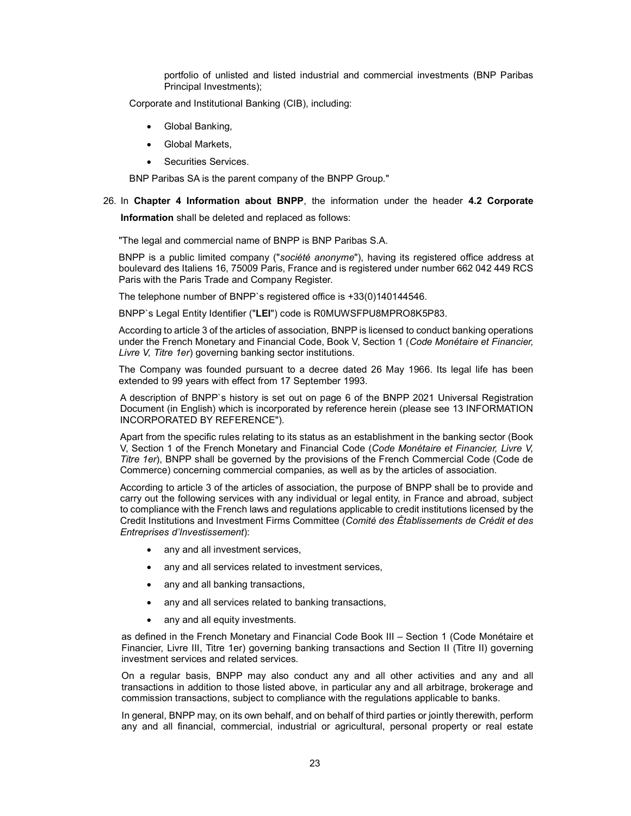portfolio of unlisted and listed industrial and commercial investments (BNP Paribas Principal Investments);

Corporate and Institutional Banking (CIB), including:

- Global Banking,
- Global Markets,
- Securities Services.

BNP Paribas SA is the parent company of the BNPP Group."

26. In Chapter 4 Information about BNPP, the information under the header 4.2 Corporate Information shall be deleted and replaced as follows:

"The legal and commercial name of BNPP is BNP Paribas S.A.

BNPP is a public limited company ("société anonyme"), having its registered office address at boulevard des Italiens 16, 75009 Paris, France and is registered under number 662 042 449 RCS Paris with the Paris Trade and Company Register.

The telephone number of BNPP`s registered office is +33(0)140144546.

BNPP`s Legal Entity Identifier ("LEI") code is R0MUWSFPU8MPRO8K5P83.

According to article 3 of the articles of association, BNPP is licensed to conduct banking operations under the French Monetary and Financial Code, Book V, Section 1 (Code Monétaire et Financier, Livre V, Titre 1er) governing banking sector institutions.

The Company was founded pursuant to a decree dated 26 May 1966. Its legal life has been extended to 99 years with effect from 17 September 1993.

A description of BNPP`s history is set out on page 6 of the BNPP 2021 Universal Registration Document (in English) which is incorporated by reference herein (please see 13 INFORMATION INCORPORATED BY REFERENCE").

Apart from the specific rules relating to its status as an establishment in the banking sector (Book V, Section 1 of the French Monetary and Financial Code (Code Monétaire et Financier, Livre V, Titre 1er), BNPP shall be governed by the provisions of the French Commercial Code (Code de Commerce) concerning commercial companies, as well as by the articles of association.

According to article 3 of the articles of association, the purpose of BNPP shall be to provide and carry out the following services with any individual or legal entity, in France and abroad, subject to compliance with the French laws and regulations applicable to credit institutions licensed by the Credit Institutions and Investment Firms Committee (Comité des Établissements de Crédit et des Entreprises d'Investissement):

- any and all investment services,
- any and all services related to investment services,
- any and all banking transactions,
- any and all services related to banking transactions,
- any and all equity investments.

as defined in the French Monetary and Financial Code Book III – Section 1 (Code Monétaire et Financier, Livre III, Titre 1er) governing banking transactions and Section II (Titre II) governing investment services and related services.

On a regular basis, BNPP may also conduct any and all other activities and any and all transactions in addition to those listed above, in particular any and all arbitrage, brokerage and commission transactions, subject to compliance with the regulations applicable to banks.

In general, BNPP may, on its own behalf, and on behalf of third parties or jointly therewith, perform any and all financial, commercial, industrial or agricultural, personal property or real estate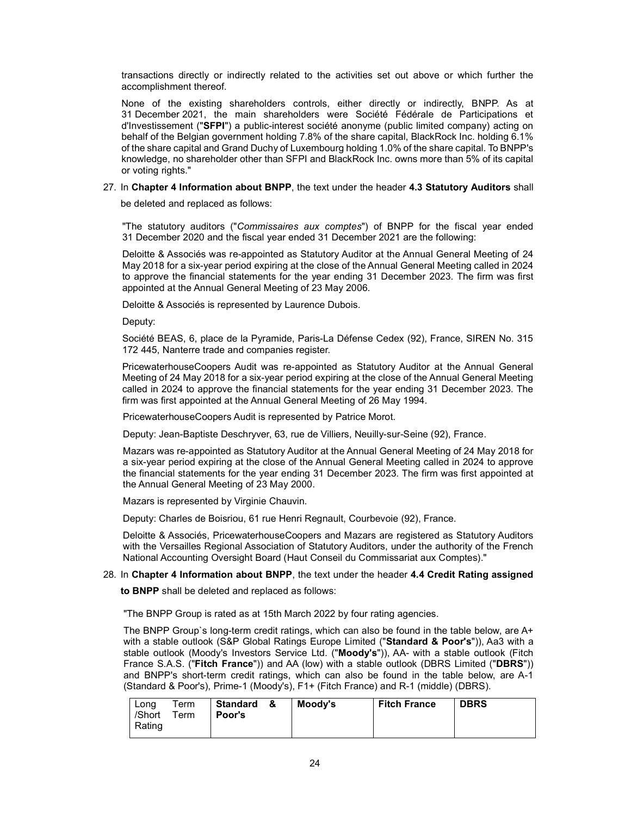transactions directly or indirectly related to the activities set out above or which further the accomplishment thereof.

None of the existing shareholders controls, either directly or indirectly, BNPP. As at 31 December 2021, the main shareholders were Société Fédérale de Participations et d'Investissement ("SFPI") a public-interest société anonyme (public limited company) acting on behalf of the Belgian government holding 7.8% of the share capital, BlackRock Inc. holding 6.1% of the share capital and Grand Duchy of Luxembourg holding 1.0% of the share capital. To BNPP's knowledge, no shareholder other than SFPI and BlackRock Inc. owns more than 5% of its capital or voting rights."

## 27. In Chapter 4 Information about BNPP, the text under the header 4.3 Statutory Auditors shall

be deleted and replaced as follows:

"The statutory auditors ("Commissaires aux comptes") of BNPP for the fiscal year ended 31 December 2020 and the fiscal year ended 31 December 2021 are the following:

Deloitte & Associés was re-appointed as Statutory Auditor at the Annual General Meeting of 24 May 2018 for a six-year period expiring at the close of the Annual General Meeting called in 2024 to approve the financial statements for the year ending 31 December 2023. The firm was first appointed at the Annual General Meeting of 23 May 2006.

Deloitte & Associés is represented by Laurence Dubois.

Deputy:

Société BEAS, 6, place de la Pyramide, Paris-La Défense Cedex (92), France, SIREN No. 315 172 445, Nanterre trade and companies register.

PricewaterhouseCoopers Audit was re-appointed as Statutory Auditor at the Annual General Meeting of 24 May 2018 for a six-year period expiring at the close of the Annual General Meeting called in 2024 to approve the financial statements for the year ending 31 December 2023. The firm was first appointed at the Annual General Meeting of 26 May 1994.

PricewaterhouseCoopers Audit is represented by Patrice Morot.

Deputy: Jean-Baptiste Deschryver, 63, rue de Villiers, Neuilly-sur-Seine (92), France.

Mazars was re-appointed as Statutory Auditor at the Annual General Meeting of 24 May 2018 for a six-year period expiring at the close of the Annual General Meeting called in 2024 to approve the financial statements for the year ending 31 December 2023. The firm was first appointed at the Annual General Meeting of 23 May 2000.

Mazars is represented by Virginie Chauvin.

Deputy: Charles de Boisriou, 61 rue Henri Regnault, Courbevoie (92), France.

Deloitte & Associés, PricewaterhouseCoopers and Mazars are registered as Statutory Auditors with the Versailles Regional Association of Statutory Auditors, under the authority of the French National Accounting Oversight Board (Haut Conseil du Commissariat aux Comptes)."

# 28. In Chapter 4 Information about BNPP, the text under the header 4.4 Credit Rating assigned

to BNPP shall be deleted and replaced as follows:

"The BNPP Group is rated as at 15th March 2022 by four rating agencies.

The BNPP Group`s long-term credit ratings, which can also be found in the table below, are A+ with a stable outlook (S&P Global Ratings Europe Limited ("Standard & Poor's")), Aa3 with a stable outlook (Moody's Investors Service Ltd. ("Moody's")), AA- with a stable outlook (Fitch France S.A.S. ("Fitch France")) and AA (low) with a stable outlook (DBRS Limited ("DBRS")) and BNPP's short-term credit ratings, which can also be found in the table below, are A-1 (Standard & Poor's), Prime-1 (Moody's), F1+ (Fitch France) and R-1 (middle) (DBRS).

| Lona   | Term | Standard & | Moodv's | <b>Fitch France</b> | <b>DBRS</b> |
|--------|------|------------|---------|---------------------|-------------|
| /Short | Term | Poor's     |         |                     |             |
| Rating |      |            |         |                     |             |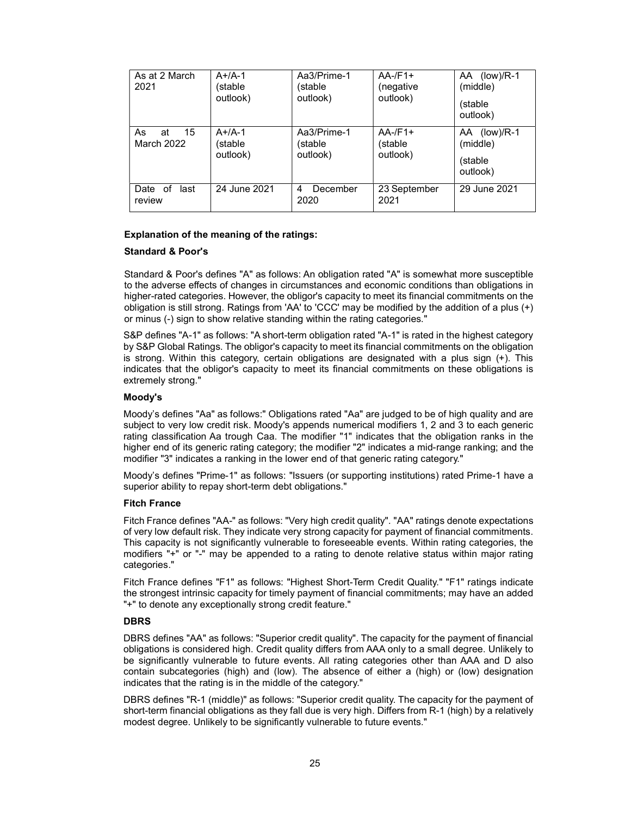| As at 2 March<br>2021        | $A+/A-1$<br>(stable<br>outlook) | Aa3/Prime-1<br>(stable<br>outlook) | $AA$ -/F1+<br>(negative<br>outlook) | AA (low)/R-1<br>(middle)<br>(stable<br>outlook) |
|------------------------------|---------------------------------|------------------------------------|-------------------------------------|-------------------------------------------------|
| As<br>15<br>at<br>March 2022 | $A+/A-1$<br>(stable<br>outlook) | Aa3/Prime-1<br>(stable<br>outlook) | $AA$ -/F1+<br>(stable<br>outlook)   | AA (low)/R-1<br>(middle)<br>(stable<br>outlook) |
| Date of<br>last<br>review    | 24 June 2021                    | December<br>4<br>2020              | 23 September<br>2021                | 29 June 2021                                    |

## Explanation of the meaning of the ratings:

# Standard & Poor's

Standard & Poor's defines "A" as follows: An obligation rated "A" is somewhat more susceptible to the adverse effects of changes in circumstances and economic conditions than obligations in higher-rated categories. However, the obligor's capacity to meet its financial commitments on the obligation is still strong. Ratings from 'AA' to 'CCC' may be modified by the addition of a plus (+) or minus (-) sign to show relative standing within the rating categories."

S&P defines "A-1" as follows: "A short-term obligation rated "A-1" is rated in the highest category by S&P Global Ratings. The obligor's capacity to meet its financial commitments on the obligation is strong. Within this category, certain obligations are designated with a plus sign (+). This indicates that the obligor's capacity to meet its financial commitments on these obligations is extremely strong."

### Moody's

Moody's defines "Aa" as follows:" Obligations rated "Aa" are judged to be of high quality and are subject to very low credit risk. Moody's appends numerical modifiers 1, 2 and 3 to each generic rating classification Aa trough Caa. The modifier "1" indicates that the obligation ranks in the higher end of its generic rating category; the modifier "2" indicates a mid-range ranking; and the modifier "3" indicates a ranking in the lower end of that generic rating category."

Moody's defines "Prime-1" as follows: "Issuers (or supporting institutions) rated Prime-1 have a superior ability to repay short-term debt obligations."

## Fitch France

Fitch France defines "AA-" as follows: "Very high credit quality". "AA" ratings denote expectations of very low default risk. They indicate very strong capacity for payment of financial commitments. This capacity is not significantly vulnerable to foreseeable events. Within rating categories, the modifiers "+" or "-" may be appended to a rating to denote relative status within major rating categories."

Fitch France defines "F1" as follows: "Highest Short-Term Credit Quality." "F1" ratings indicate the strongest intrinsic capacity for timely payment of financial commitments; may have an added "+" to denote any exceptionally strong credit feature."

### DBRS

DBRS defines "AA" as follows: "Superior credit quality". The capacity for the payment of financial obligations is considered high. Credit quality differs from AAA only to a small degree. Unlikely to be significantly vulnerable to future events. All rating categories other than AAA and D also contain subcategories (high) and (low). The absence of either a (high) or (low) designation indicates that the rating is in the middle of the category."

DBRS defines "R-1 (middle)" as follows: "Superior credit quality. The capacity for the payment of short-term financial obligations as they fall due is very high. Differs from R-1 (high) by a relatively modest degree. Unlikely to be significantly vulnerable to future events."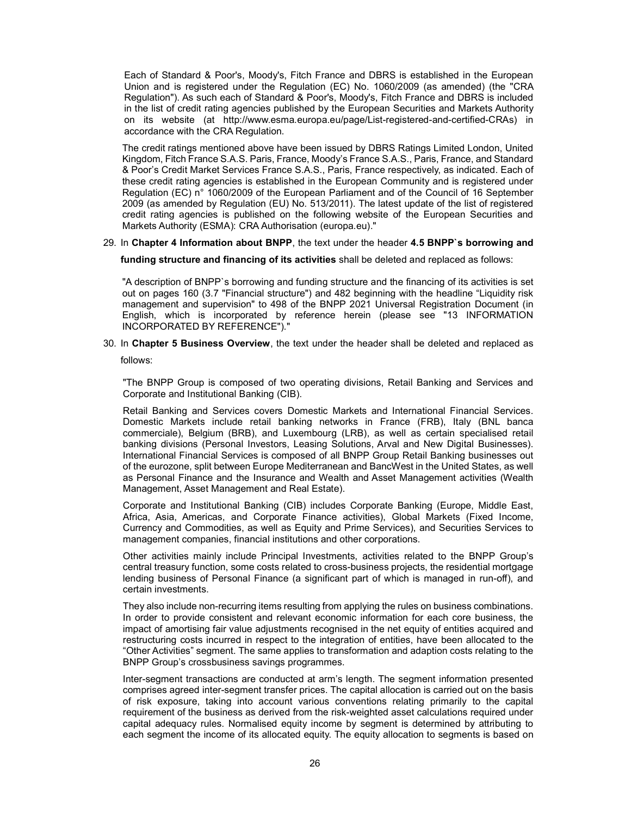Each of Standard & Poor's, Moody's, Fitch France and DBRS is established in the European Union and is registered under the Regulation (EC) No. 1060/2009 (as amended) (the "CRA Regulation"). As such each of Standard & Poor's, Moody's, Fitch France and DBRS is included in the list of credit rating agencies published by the European Securities and Markets Authority on its website (at http://www.esma.europa.eu/page/List-registered-and-certified-CRAs) in accordance with the CRA Regulation.

The credit ratings mentioned above have been issued by DBRS Ratings Limited London, United Kingdom, Fitch France S.A.S. Paris, France, Moody's France S.A.S., Paris, France, and Standard & Poor's Credit Market Services France S.A.S., Paris, France respectively, as indicated. Each of these credit rating agencies is established in the European Community and is registered under Regulation (EC) n° 1060/2009 of the European Parliament and of the Council of 16 September 2009 (as amended by Regulation (EU) No. 513/2011). The latest update of the list of registered credit rating agencies is published on the following website of the European Securities and Markets Authority (ESMA): CRA Authorisation (europa.eu)."

29. In Chapter 4 Information about BNPP, the text under the header 4.5 BNPP`s borrowing and

funding structure and financing of its activities shall be deleted and replaced as follows:

"A description of BNPP`s borrowing and funding structure and the financing of its activities is set out on pages 160 (3.7 "Financial structure") and 482 beginning with the headline "Liquidity risk management and supervision" to 498 of the BNPP 2021 Universal Registration Document (in English, which is incorporated by reference herein (please see "13 INFORMATION INCORPORATED BY REFERENCE")."

30. In Chapter 5 Business Overview, the text under the header shall be deleted and replaced as

follows:

"The BNPP Group is composed of two operating divisions, Retail Banking and Services and Corporate and Institutional Banking (CIB).

Retail Banking and Services covers Domestic Markets and International Financial Services. Domestic Markets include retail banking networks in France (FRB), Italy (BNL banca commerciale), Belgium (BRB), and Luxembourg (LRB), as well as certain specialised retail banking divisions (Personal Investors, Leasing Solutions, Arval and New Digital Businesses). International Financial Services is composed of all BNPP Group Retail Banking businesses out of the eurozone, split between Europe Mediterranean and BancWest in the United States, as well as Personal Finance and the Insurance and Wealth and Asset Management activities (Wealth Management, Asset Management and Real Estate).

Corporate and Institutional Banking (CIB) includes Corporate Banking (Europe, Middle East, Africa, Asia, Americas, and Corporate Finance activities), Global Markets (Fixed Income, Currency and Commodities, as well as Equity and Prime Services), and Securities Services to management companies, financial institutions and other corporations.

Other activities mainly include Principal Investments, activities related to the BNPP Group's central treasury function, some costs related to cross-business projects, the residential mortgage lending business of Personal Finance (a significant part of which is managed in run-off), and certain investments.

They also include non-recurring items resulting from applying the rules on business combinations. In order to provide consistent and relevant economic information for each core business, the impact of amortising fair value adjustments recognised in the net equity of entities acquired and restructuring costs incurred in respect to the integration of entities, have been allocated to the "Other Activities" segment. The same applies to transformation and adaption costs relating to the BNPP Group's crossbusiness savings programmes.

Inter-segment transactions are conducted at arm's length. The segment information presented comprises agreed inter-segment transfer prices. The capital allocation is carried out on the basis of risk exposure, taking into account various conventions relating primarily to the capital requirement of the business as derived from the risk-weighted asset calculations required under capital adequacy rules. Normalised equity income by segment is determined by attributing to each segment the income of its allocated equity. The equity allocation to segments is based on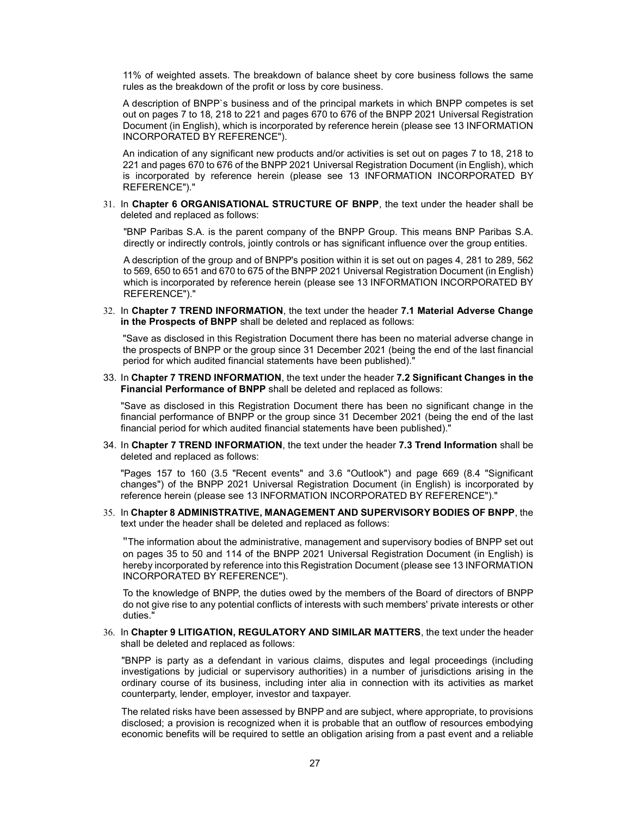11% of weighted assets. The breakdown of balance sheet by core business follows the same rules as the breakdown of the profit or loss by core business.

A description of BNPP`s business and of the principal markets in which BNPP competes is set out on pages 7 to 18, 218 to 221 and pages 670 to 676 of the BNPP 2021 Universal Registration Document (in English), which is incorporated by reference herein (please see 13 INFORMATION INCORPORATED BY REFERENCE").

An indication of any significant new products and/or activities is set out on pages 7 to 18, 218 to 221 and pages 670 to 676 of the BNPP 2021 Universal Registration Document (in English), which is incorporated by reference herein (please see 13 INFORMATION INCORPORATED BY REFERENCE")."

31. In Chapter 6 ORGANISATIONAL STRUCTURE OF BNPP, the text under the header shall be deleted and replaced as follows:

"BNP Paribas S.A. is the parent company of the BNPP Group. This means BNP Paribas S.A. directly or indirectly controls, jointly controls or has significant influence over the group entities.

A description of the group and of BNPP's position within it is set out on pages 4, 281 to 289, 562 to 569, 650 to 651 and 670 to 675 of the BNPP 2021 Universal Registration Document (in English) which is incorporated by reference herein (please see 13 INFORMATION INCORPORATED BY REFERENCE")."

32. In Chapter 7 TREND INFORMATION, the text under the header 7.1 Material Adverse Change in the Prospects of BNPP shall be deleted and replaced as follows:

"Save as disclosed in this Registration Document there has been no material adverse change in the prospects of BNPP or the group since 31 December 2021 (being the end of the last financial period for which audited financial statements have been published)."

33. In Chapter 7 TREND INFORMATION, the text under the header 7.2 Significant Changes in the Financial Performance of BNPP shall be deleted and replaced as follows:

"Save as disclosed in this Registration Document there has been no significant change in the financial performance of BNPP or the group since 31 December 2021 (being the end of the last financial period for which audited financial statements have been published)."

34. In Chapter 7 TREND INFORMATION, the text under the header 7.3 Trend Information shall be deleted and replaced as follows:

"Pages 157 to 160 (3.5 "Recent events" and 3.6 "Outlook") and page 669 (8.4 "Significant changes") of the BNPP 2021 Universal Registration Document (in English) is incorporated by reference herein (please see 13 INFORMATION INCORPORATED BY REFERENCE")."

35. In Chapter 8 ADMINISTRATIVE, MANAGEMENT AND SUPERVISORY BODIES OF BNPP, the text under the header shall be deleted and replaced as follows:

"The information about the administrative, management and supervisory bodies of BNPP set out on pages 35 to 50 and 114 of the BNPP 2021 Universal Registration Document (in English) is hereby incorporated by reference into this Registration Document (please see 13 INFORMATION INCORPORATED BY REFERENCE").

To the knowledge of BNPP, the duties owed by the members of the Board of directors of BNPP do not give rise to any potential conflicts of interests with such members' private interests or other duties."

36. In Chapter 9 LITIGATION, REGULATORY AND SIMILAR MATTERS, the text under the header shall be deleted and replaced as follows:

"BNPP is party as a defendant in various claims, disputes and legal proceedings (including investigations by judicial or supervisory authorities) in a number of jurisdictions arising in the ordinary course of its business, including inter alia in connection with its activities as market counterparty, lender, employer, investor and taxpayer.

The related risks have been assessed by BNPP and are subject, where appropriate, to provisions disclosed; a provision is recognized when it is probable that an outflow of resources embodying economic benefits will be required to settle an obligation arising from a past event and a reliable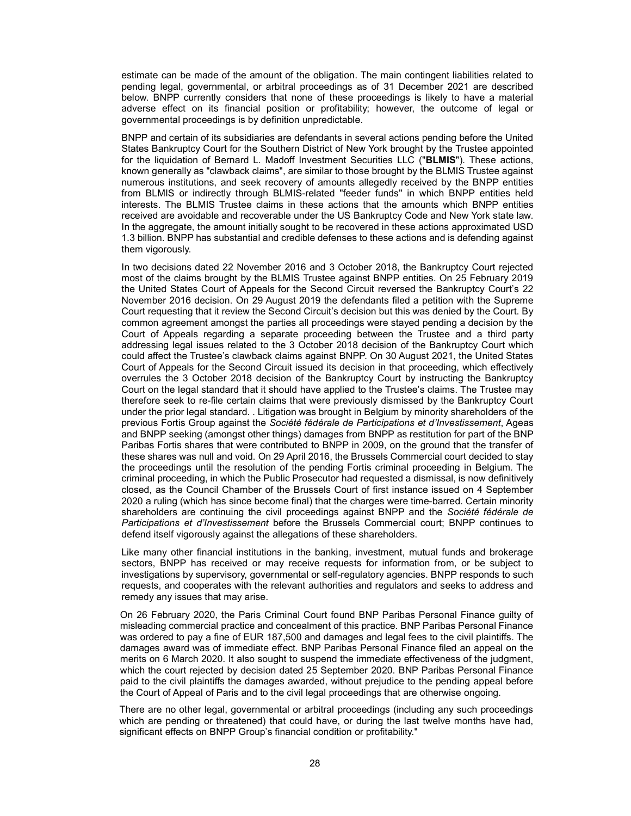estimate can be made of the amount of the obligation. The main contingent liabilities related to pending legal, governmental, or arbitral proceedings as of 31 December 2021 are described below. BNPP currently considers that none of these proceedings is likely to have a material adverse effect on its financial position or profitability; however, the outcome of legal or governmental proceedings is by definition unpredictable.

BNPP and certain of its subsidiaries are defendants in several actions pending before the United States Bankruptcy Court for the Southern District of New York brought by the Trustee appointed for the liquidation of Bernard L. Madoff Investment Securities LLC ("BLMIS"). These actions, known generally as "clawback claims", are similar to those brought by the BLMIS Trustee against numerous institutions, and seek recovery of amounts allegedly received by the BNPP entities from BLMIS or indirectly through BLMIS-related "feeder funds" in which BNPP entities held interests. The BLMIS Trustee claims in these actions that the amounts which BNPP entities received are avoidable and recoverable under the US Bankruptcy Code and New York state law. In the aggregate, the amount initially sought to be recovered in these actions approximated USD 1.3 billion. BNPP has substantial and credible defenses to these actions and is defending against them vigorously.

In two decisions dated 22 November 2016 and 3 October 2018, the Bankruptcy Court rejected most of the claims brought by the BLMIS Trustee against BNPP entities. On 25 February 2019 the United States Court of Appeals for the Second Circuit reversed the Bankruptcy Court's 22 November 2016 decision. On 29 August 2019 the defendants filed a petition with the Supreme Court requesting that it review the Second Circuit's decision but this was denied by the Court. By common agreement amongst the parties all proceedings were stayed pending a decision by the Court of Appeals regarding a separate proceeding between the Trustee and a third party addressing legal issues related to the 3 October 2018 decision of the Bankruptcy Court which could affect the Trustee's clawback claims against BNPP. On 30 August 2021, the United States Court of Appeals for the Second Circuit issued its decision in that proceeding, which effectively overrules the 3 October 2018 decision of the Bankruptcy Court by instructing the Bankruptcy Court on the legal standard that it should have applied to the Trustee's claims. The Trustee may therefore seek to re-file certain claims that were previously dismissed by the Bankruptcy Court under the prior legal standard. . Litigation was brought in Belgium by minority shareholders of the previous Fortis Group against the Société fédérale de Participations et d'Investissement, Ageas and BNPP seeking (amongst other things) damages from BNPP as restitution for part of the BNP Paribas Fortis shares that were contributed to BNPP in 2009, on the ground that the transfer of these shares was null and void. On 29 April 2016, the Brussels Commercial court decided to stay the proceedings until the resolution of the pending Fortis criminal proceeding in Belgium. The criminal proceeding, in which the Public Prosecutor had requested a dismissal, is now definitively closed, as the Council Chamber of the Brussels Court of first instance issued on 4 September 2020 a ruling (which has since become final) that the charges were time-barred. Certain minority shareholders are continuing the civil proceedings against BNPP and the Société fédérale de Participations et d'Investissement before the Brussels Commercial court; BNPP continues to defend itself vigorously against the allegations of these shareholders.

Like many other financial institutions in the banking, investment, mutual funds and brokerage sectors, BNPP has received or may receive requests for information from, or be subject to investigations by supervisory, governmental or self-regulatory agencies. BNPP responds to such requests, and cooperates with the relevant authorities and regulators and seeks to address and remedy any issues that may arise.

On 26 February 2020, the Paris Criminal Court found BNP Paribas Personal Finance guilty of misleading commercial practice and concealment of this practice. BNP Paribas Personal Finance was ordered to pay a fine of EUR 187,500 and damages and legal fees to the civil plaintiffs. The damages award was of immediate effect. BNP Paribas Personal Finance filed an appeal on the merits on 6 March 2020. It also sought to suspend the immediate effectiveness of the judgment, which the court rejected by decision dated 25 September 2020. BNP Paribas Personal Finance paid to the civil plaintiffs the damages awarded, without prejudice to the pending appeal before the Court of Appeal of Paris and to the civil legal proceedings that are otherwise ongoing.

There are no other legal, governmental or arbitral proceedings (including any such proceedings which are pending or threatened) that could have, or during the last twelve months have had, significant effects on BNPP Group's financial condition or profitability."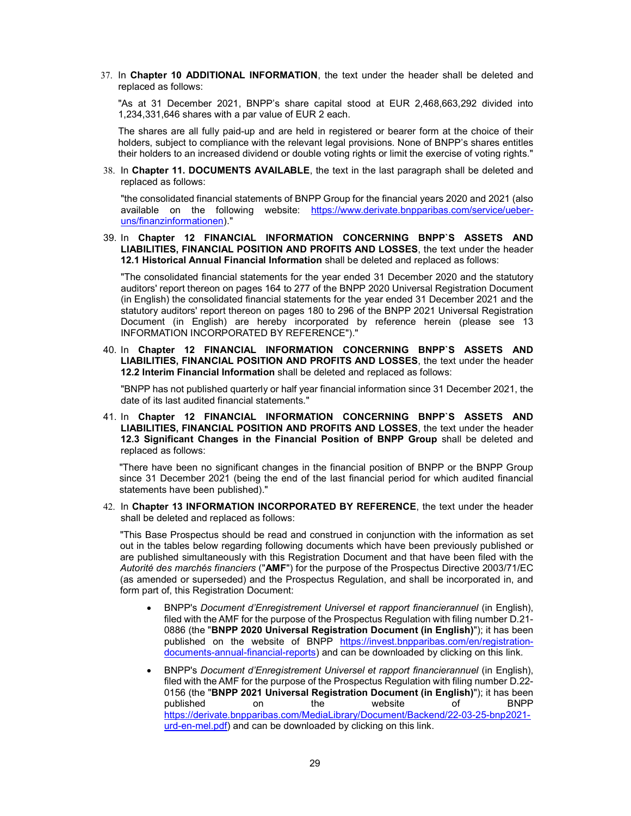37. In Chapter 10 ADDITIONAL INFORMATION, the text under the header shall be deleted and replaced as follows:

"As at 31 December 2021, BNPP's share capital stood at EUR 2,468,663,292 divided into 1,234,331,646 shares with a par value of EUR 2 each.

The shares are all fully paid-up and are held in registered or bearer form at the choice of their holders, subject to compliance with the relevant legal provisions. None of BNPP's shares entitles their holders to an increased dividend or double voting rights or limit the exercise of voting rights."

38. In Chapter 11. DOCUMENTS AVAILABLE, the text in the last paragraph shall be deleted and replaced as follows:

"the consolidated financial statements of BNPP Group for the financial years 2020 and 2021 (also available on the following website: https://www.derivate.bnpparibas.com/service/ueberuns/finanzinformationen)."

39. In Chapter 12 FINANCIAL INFORMATION CONCERNING BNPP`S ASSETS AND LIABILITIES, FINANCIAL POSITION AND PROFITS AND LOSSES, the text under the header 12.1 Historical Annual Financial Information shall be deleted and replaced as follows:

"The consolidated financial statements for the year ended 31 December 2020 and the statutory auditors' report thereon on pages 164 to 277 of the BNPP 2020 Universal Registration Document (in English) the consolidated financial statements for the year ended 31 December 2021 and the statutory auditors' report thereon on pages 180 to 296 of the BNPP 2021 Universal Registration Document (in English) are hereby incorporated by reference herein (please see 13 INFORMATION INCORPORATED BY REFERENCE")."

40. In Chapter 12 FINANCIAL INFORMATION CONCERNING BNPP`S ASSETS AND LIABILITIES, FINANCIAL POSITION AND PROFITS AND LOSSES, the text under the header 12.2 Interim Financial Information shall be deleted and replaced as follows:

"BNPP has not published quarterly or half year financial information since 31 December 2021, the date of its last audited financial statements."

41. In Chapter 12 FINANCIAL INFORMATION CONCERNING BNPP`S ASSETS AND LIABILITIES, FINANCIAL POSITION AND PROFITS AND LOSSES, the text under the header 12.3 Significant Changes in the Financial Position of BNPP Group shall be deleted and replaced as follows:

"There have been no significant changes in the financial position of BNPP or the BNPP Group since 31 December 2021 (being the end of the last financial period for which audited financial statements have been published)."

42. In Chapter 13 INFORMATION INCORPORATED BY REFERENCE, the text under the header shall be deleted and replaced as follows:

"This Base Prospectus should be read and construed in conjunction with the information as set out in the tables below regarding following documents which have been previously published or are published simultaneously with this Registration Document and that have been filed with the Autorité des marchés financiers ("AMF") for the purpose of the Prospectus Directive 2003/71/EC (as amended or superseded) and the Prospectus Regulation, and shall be incorporated in, and form part of, this Registration Document:

- BNPP's Document d'Enregistrement Universel et rapport financierannuel (in English), filed with the AMF for the purpose of the Prospectus Regulation with filing number D.21- 0886 (the "BNPP 2020 Universal Registration Document (in English)"); it has been published on the website of BNPP https://invest.bnpparibas.com/en/registrationdocuments-annual-financial-reports) and can be downloaded by clicking on this link.
- BNPP's Document d'Enregistrement Universel et rapport financierannuel (in English), filed with the AMF for the purpose of the Prospectus Regulation with filing number D.22- 0156 (the "BNPP 2021 Universal Registration Document (in English)"); it has been published on the website of BNPP https://derivate.bnpparibas.com/MediaLibrary/Document/Backend/22-03-25-bnp2021 urd-en-mel.pdf) and can be downloaded by clicking on this link.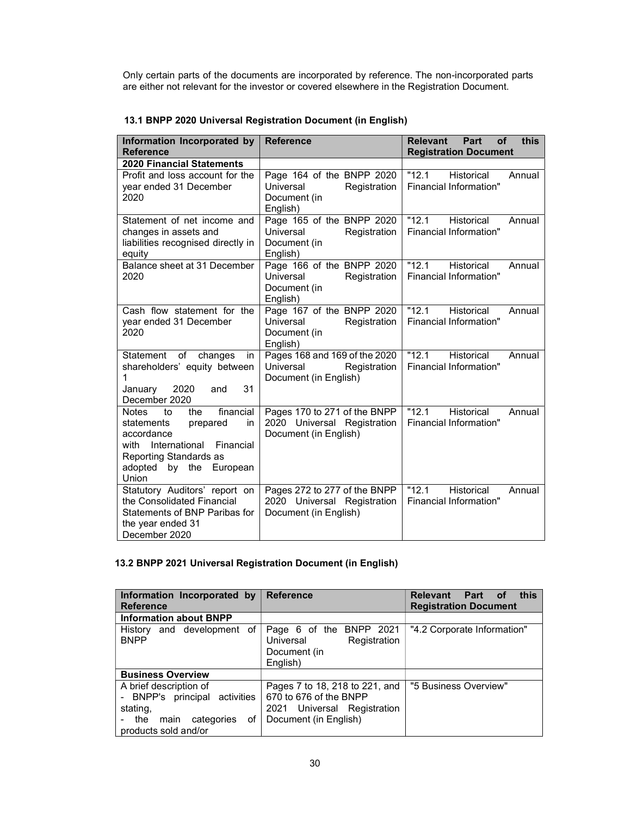Only certain parts of the documents are incorporated by reference. The non-incorporated parts are either not relevant for the investor or covered elsewhere in the Registration Document.

| Information Incorporated by<br><b>Reference</b>                                                                                                                                          | <b>Reference</b>                                                                     | <b>Relevant</b><br>Part<br><b>of</b><br>this<br><b>Registration Document</b> |
|------------------------------------------------------------------------------------------------------------------------------------------------------------------------------------------|--------------------------------------------------------------------------------------|------------------------------------------------------------------------------|
| <b>2020 Financial Statements</b>                                                                                                                                                         |                                                                                      |                                                                              |
| Profit and loss account for the<br>year ended 31 December<br>2020                                                                                                                        | Page 164 of the BNPP 2020<br>Universal<br>Registration<br>Document (in<br>English)   | "12.1"<br>Historical<br>Annual<br>Financial Information"                     |
| Statement of net income and<br>changes in assets and<br>liabilities recognised directly in<br>equity                                                                                     | Page 165 of the BNPP 2020<br>Universal<br>Registration<br>Document (in<br>English)   | $\overline{12.1}$<br>Historical<br>Annual<br>Financial Information"          |
| Balance sheet at 31 December<br>2020                                                                                                                                                     | Page 166 of the BNPP 2020<br>Universal<br>Registration<br>Document (in<br>English)   | "12.1"<br>Historical<br>Annual<br>Financial Information"                     |
| Cash flow statement for the<br>year ended 31 December<br>2020                                                                                                                            | Page 167 of the BNPP 2020<br>Universal<br>Registration<br>Document (in<br>English)   | "12.1"<br>Historical<br>Annual<br>Financial Information"                     |
| of<br>Statement<br>changes<br>in<br>shareholders' equity between<br>1<br>31<br>2020<br>January<br>and<br>December 2020                                                                   | Pages 168 and 169 of the 2020<br>Universal<br>Registration<br>Document (in English)  | "12.1"<br>Historical<br>Annual<br>Financial Information"                     |
| financial<br><b>Notes</b><br>to<br>the<br>statements<br>prepared<br>in<br>accordance<br>International<br>with<br>Financial<br>Reporting Standards as<br>adopted by the European<br>Union | Pages 170 to 271 of the BNPP<br>2020 Universal Registration<br>Document (in English) | "12.1"<br><b>Historical</b><br>Annual<br>Financial Information"              |
| Statutory Auditors' report on<br>the Consolidated Financial<br>Statements of BNP Paribas for<br>the year ended 31<br>December 2020                                                       | Pages 272 to 277 of the BNPP<br>2020 Universal Registration<br>Document (in English) | $\overline{11}2.1$<br>Historical<br>Annual<br><b>Financial Information"</b>  |

# 13.1 BNPP 2020 Universal Registration Document (in English)

# 13.2 BNPP 2021 Universal Registration Document (in English)

| Information Incorporated by<br><b>Reference</b>                                                                                | <b>Reference</b>                                                                                                 | this<br>Relevant Part of<br><b>Registration Document</b> |
|--------------------------------------------------------------------------------------------------------------------------------|------------------------------------------------------------------------------------------------------------------|----------------------------------------------------------|
| <b>Information about BNPP</b>                                                                                                  |                                                                                                                  |                                                          |
| History and development of<br><b>BNPP</b>                                                                                      | Page 6 of the BNPP 2021<br>Universal<br>Registration<br>Document (in<br>English)                                 | "4.2 Corporate Information"                              |
| <b>Business Overview</b>                                                                                                       |                                                                                                                  |                                                          |
| A brief description of<br>BNPP's principal activities<br>stating,<br>- the<br>categories<br>οf<br>main<br>products sold and/or | Pages 7 to 18, 218 to 221, and<br>670 to 676 of the BNPP<br>2021 Universal Registration<br>Document (in English) | "5 Business Overview"                                    |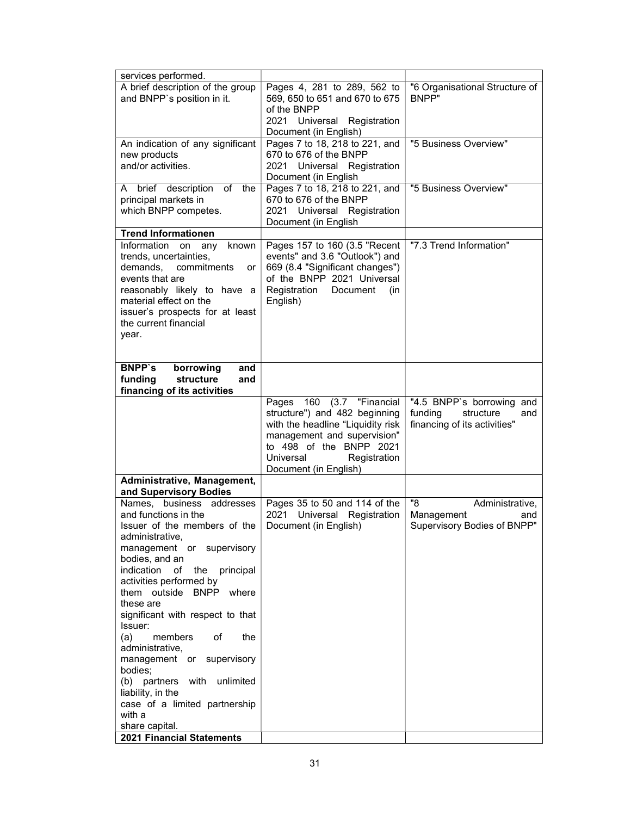| services performed.                                                                                                                                                                                                                                                                                                                                                                                                                                                                                                                                       |                                                                                                                                                                                                                       |                                                                                          |
|-----------------------------------------------------------------------------------------------------------------------------------------------------------------------------------------------------------------------------------------------------------------------------------------------------------------------------------------------------------------------------------------------------------------------------------------------------------------------------------------------------------------------------------------------------------|-----------------------------------------------------------------------------------------------------------------------------------------------------------------------------------------------------------------------|------------------------------------------------------------------------------------------|
| A brief description of the group<br>and BNPP's position in it.                                                                                                                                                                                                                                                                                                                                                                                                                                                                                            | Pages 4, 281 to 289, 562 to<br>569, 650 to 651 and 670 to 675<br>of the BNPP<br>2021 Universal<br>Registration<br>Document (in English)                                                                               | "6 Organisational Structure of<br>BNPP"                                                  |
| An indication of any significant<br>new products<br>and/or activities.                                                                                                                                                                                                                                                                                                                                                                                                                                                                                    | Pages 7 to 18, 218 to 221, and<br>670 to 676 of the BNPP<br>2021 Universal Registration<br>Document (in English                                                                                                       | "5 Business Overview"                                                                    |
| of<br>the<br>A brief description<br>principal markets in<br>which BNPP competes.                                                                                                                                                                                                                                                                                                                                                                                                                                                                          | Pages 7 to 18, 218 to 221, and<br>670 to 676 of the BNPP<br>2021 Universal Registration<br>Document (in English                                                                                                       | "5 Business Overview"                                                                    |
| <b>Trend Informationen</b>                                                                                                                                                                                                                                                                                                                                                                                                                                                                                                                                |                                                                                                                                                                                                                       |                                                                                          |
| Information<br>known<br>on<br>any<br>trends, uncertainties,<br>commitments<br>demands,<br>or<br>events that are<br>reasonably likely to have a<br>material effect on the<br>issuer's prospects for at least<br>the current financial<br>year.                                                                                                                                                                                                                                                                                                             | Pages 157 to 160 (3.5 "Recent<br>events" and 3.6 "Outlook") and<br>669 (8.4 "Significant changes")<br>of the BNPP 2021 Universal<br>Registration<br><b>Document</b><br>(in<br>English)                                | "7.3 Trend Information"                                                                  |
| <b>BNPP's</b><br>borrowing<br>and<br>structure<br>funding<br>and<br>financing of its activities                                                                                                                                                                                                                                                                                                                                                                                                                                                           |                                                                                                                                                                                                                       |                                                                                          |
|                                                                                                                                                                                                                                                                                                                                                                                                                                                                                                                                                           | (3.7 "Financial<br>160<br>Pages<br>structure") and 482 beginning<br>with the headline "Liquidity risk<br>management and supervision"<br>to 498 of the BNPP 2021<br>Universal<br>Registration<br>Document (in English) | "4.5 BNPP's borrowing and<br>funding<br>structure<br>and<br>financing of its activities" |
| Administrative, Management,<br>and Supervisory Bodies                                                                                                                                                                                                                                                                                                                                                                                                                                                                                                     |                                                                                                                                                                                                                       |                                                                                          |
| Names, business addresses<br>and functions in the<br>Issuer of the members of the<br>administrative,<br>management or supervisory<br>bodies, and an<br>indication<br>the principal<br>of<br>activities performed by<br>them outside BNPP where<br>these are<br>significant with respect to that<br>Issuer:<br>(a)<br>members<br>of<br>the<br>administrative.<br>management or supervisory<br>bodies;<br>(b) partners with unlimited<br>liability, in the<br>case of a limited partnership<br>with a<br>share capital.<br><b>2021 Financial Statements</b> | Pages 35 to 50 and 114 of the<br>Universal<br>2021<br>Registration<br>Document (in English)                                                                                                                           | "8<br>Administrative,<br>Management<br>and<br>Supervisory Bodies of BNPP"                |